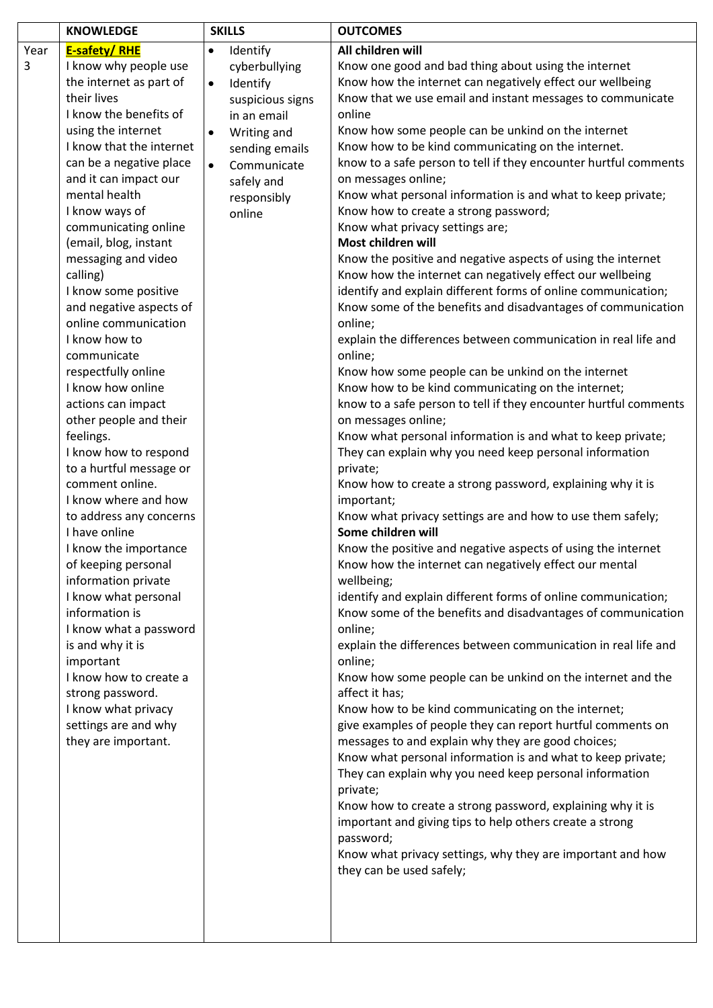|           | <b>KNOWLEDGE</b>                                                                                                                                                                                                                                                                                                                                                                                                                                                                                                                                                                                                                                                                                                                                                                                                                                                                                                                                                                                             | <b>SKILLS</b>                                                                                                                                                                                                       | <b>OUTCOMES</b>                                                                                                                                                                                                                                                                                                                                                                                                                                                                                                                                                                                                                                                                                                                                                                                                                                                                                                                                                                                                                                                                                                                                                                                                                                                                                                                                                                                                                                                                                                                                                                                                                                                                                                                                                                                                                                                                                                                                                                                                                                                                                                                                                                                                                                                                                                                                                                                                                                              |
|-----------|--------------------------------------------------------------------------------------------------------------------------------------------------------------------------------------------------------------------------------------------------------------------------------------------------------------------------------------------------------------------------------------------------------------------------------------------------------------------------------------------------------------------------------------------------------------------------------------------------------------------------------------------------------------------------------------------------------------------------------------------------------------------------------------------------------------------------------------------------------------------------------------------------------------------------------------------------------------------------------------------------------------|---------------------------------------------------------------------------------------------------------------------------------------------------------------------------------------------------------------------|--------------------------------------------------------------------------------------------------------------------------------------------------------------------------------------------------------------------------------------------------------------------------------------------------------------------------------------------------------------------------------------------------------------------------------------------------------------------------------------------------------------------------------------------------------------------------------------------------------------------------------------------------------------------------------------------------------------------------------------------------------------------------------------------------------------------------------------------------------------------------------------------------------------------------------------------------------------------------------------------------------------------------------------------------------------------------------------------------------------------------------------------------------------------------------------------------------------------------------------------------------------------------------------------------------------------------------------------------------------------------------------------------------------------------------------------------------------------------------------------------------------------------------------------------------------------------------------------------------------------------------------------------------------------------------------------------------------------------------------------------------------------------------------------------------------------------------------------------------------------------------------------------------------------------------------------------------------------------------------------------------------------------------------------------------------------------------------------------------------------------------------------------------------------------------------------------------------------------------------------------------------------------------------------------------------------------------------------------------------------------------------------------------------------------------------------------------------|
| Year<br>3 | <b>E-safety/RHE</b><br>I know why people use<br>the internet as part of<br>their lives<br>I know the benefits of<br>using the internet<br>I know that the internet<br>can be a negative place<br>and it can impact our<br>mental health<br>I know ways of<br>communicating online<br>(email, blog, instant<br>messaging and video<br>calling)<br>I know some positive<br>and negative aspects of<br>online communication<br>I know how to<br>communicate<br>respectfully online<br>I know how online<br>actions can impact<br>other people and their<br>feelings.<br>I know how to respond<br>to a hurtful message or<br>comment online.<br>I know where and how<br>to address any concerns<br>I have online<br>I know the importance<br>of keeping personal<br>information private<br>I know what personal<br>information is<br>I know what a password<br>is and why it is<br>important<br>I know how to create a<br>strong password.<br>I know what privacy<br>settings are and why<br>they are important. | Identify<br>$\bullet$<br>cyberbullying<br>Identify<br>$\bullet$<br>suspicious signs<br>in an email<br>Writing and<br>$\bullet$<br>sending emails<br>Communicate<br>$\bullet$<br>safely and<br>responsibly<br>online | All children will<br>Know one good and bad thing about using the internet<br>Know how the internet can negatively effect our wellbeing<br>Know that we use email and instant messages to communicate<br>online<br>Know how some people can be unkind on the internet<br>Know how to be kind communicating on the internet.<br>know to a safe person to tell if they encounter hurtful comments<br>on messages online;<br>Know what personal information is and what to keep private;<br>Know how to create a strong password;<br>Know what privacy settings are;<br>Most children will<br>Know the positive and negative aspects of using the internet<br>Know how the internet can negatively effect our wellbeing<br>identify and explain different forms of online communication;<br>Know some of the benefits and disadvantages of communication<br>online;<br>explain the differences between communication in real life and<br>online;<br>Know how some people can be unkind on the internet<br>Know how to be kind communicating on the internet;<br>know to a safe person to tell if they encounter hurtful comments<br>on messages online;<br>Know what personal information is and what to keep private;<br>They can explain why you need keep personal information<br>private;<br>Know how to create a strong password, explaining why it is<br>important;<br>Know what privacy settings are and how to use them safely;<br>Some children will<br>Know the positive and negative aspects of using the internet<br>Know how the internet can negatively effect our mental<br>wellbeing;<br>identify and explain different forms of online communication;<br>Know some of the benefits and disadvantages of communication<br>online;<br>explain the differences between communication in real life and<br>online;<br>Know how some people can be unkind on the internet and the<br>affect it has;<br>Know how to be kind communicating on the internet;<br>give examples of people they can report hurtful comments on<br>messages to and explain why they are good choices;<br>Know what personal information is and what to keep private;<br>They can explain why you need keep personal information<br>private;<br>Know how to create a strong password, explaining why it is<br>important and giving tips to help others create a strong<br>password;<br>Know what privacy settings, why they are important and how<br>they can be used safely; |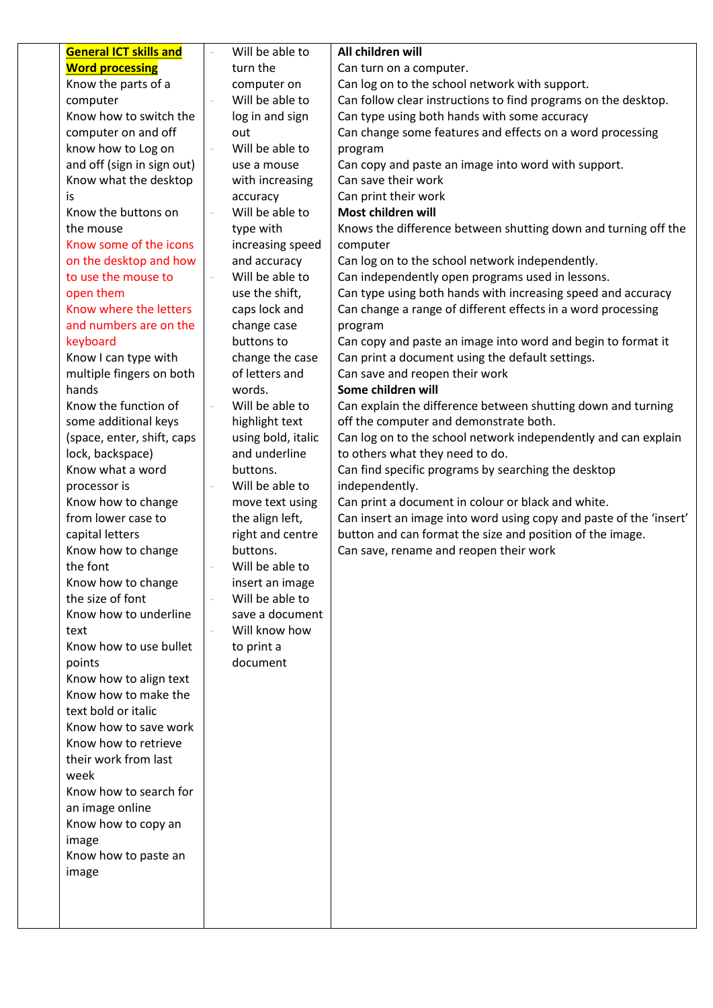| <b>General ICT skills and</b> | Will be able to    | All children will                                                  |
|-------------------------------|--------------------|--------------------------------------------------------------------|
| <b>Word processing</b>        | turn the           | Can turn on a computer.                                            |
| Know the parts of a           | computer on        | Can log on to the school network with support.                     |
| computer                      | Will be able to    | Can follow clear instructions to find programs on the desktop.     |
| Know how to switch the        | log in and sign    | Can type using both hands with some accuracy                       |
| computer on and off           | out                | Can change some features and effects on a word processing          |
| know how to Log on            | Will be able to    | program                                                            |
| and off (sign in sign out)    | use a mouse        | Can copy and paste an image into word with support.                |
| Know what the desktop         | with increasing    | Can save their work                                                |
| is                            | accuracy           | Can print their work                                               |
| Know the buttons on           | Will be able to    | Most children will                                                 |
| the mouse                     | type with          | Knows the difference between shutting down and turning off the     |
| Know some of the icons        | increasing speed   | computer                                                           |
| on the desktop and how        | and accuracy       | Can log on to the school network independently.                    |
| to use the mouse to           | Will be able to    | Can independently open programs used in lessons.                   |
| open them                     | use the shift,     | Can type using both hands with increasing speed and accuracy       |
| Know where the letters        | caps lock and      | Can change a range of different effects in a word processing       |
| and numbers are on the        | change case        | program                                                            |
| keyboard                      | buttons to         | Can copy and paste an image into word and begin to format it       |
| Know I can type with          | change the case    | Can print a document using the default settings.                   |
| multiple fingers on both      | of letters and     | Can save and reopen their work                                     |
| hands                         | words.             | Some children will                                                 |
| Know the function of          | Will be able to    | Can explain the difference between shutting down and turning       |
| some additional keys          | highlight text     | off the computer and demonstrate both.                             |
| (space, enter, shift, caps    | using bold, italic | Can log on to the school network independently and can explain     |
| lock, backspace)              | and underline      | to others what they need to do.                                    |
| Know what a word              | buttons.           | Can find specific programs by searching the desktop                |
| processor is                  | Will be able to    | independently.                                                     |
| Know how to change            | move text using    | Can print a document in colour or black and white.                 |
| from lower case to            | the align left,    | Can insert an image into word using copy and paste of the 'insert' |
| capital letters               | right and centre   | button and can format the size and position of the image.          |
| Know how to change            | buttons.           | Can save, rename and reopen their work                             |
| the font                      | Will be able to    |                                                                    |
| Know how to change            | insert an image    |                                                                    |
| the size of font              | Will be able to    |                                                                    |
| Know how to underline         | save a document    |                                                                    |
| text                          | Will know how      |                                                                    |
| Know how to use bullet        | to print a         |                                                                    |
| points                        | document           |                                                                    |
| Know how to align text        |                    |                                                                    |
| Know how to make the          |                    |                                                                    |
| text bold or italic           |                    |                                                                    |
| Know how to save work         |                    |                                                                    |
| Know how to retrieve          |                    |                                                                    |
| their work from last          |                    |                                                                    |
| week                          |                    |                                                                    |
| Know how to search for        |                    |                                                                    |
| an image online               |                    |                                                                    |
| Know how to copy an           |                    |                                                                    |
| image                         |                    |                                                                    |
| Know how to paste an          |                    |                                                                    |
| image                         |                    |                                                                    |
|                               |                    |                                                                    |
|                               |                    |                                                                    |
|                               |                    |                                                                    |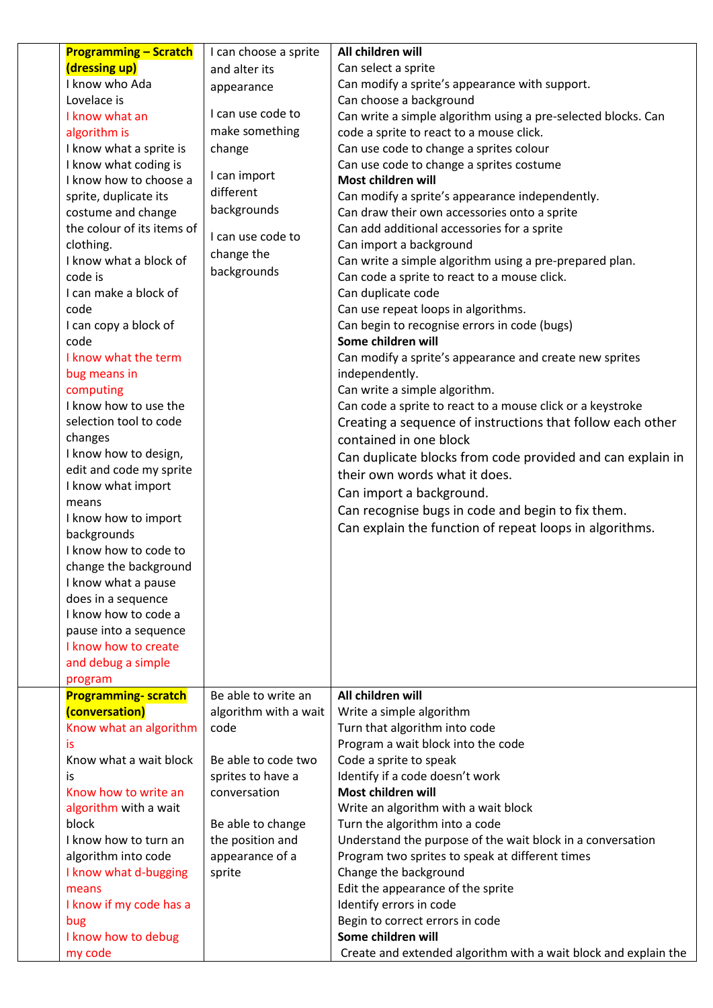| <b>Programming - Scratch</b> | I can choose a sprite | All children will                                               |
|------------------------------|-----------------------|-----------------------------------------------------------------|
| (dressing up)                | and alter its         | Can select a sprite                                             |
| I know who Ada               | appearance            | Can modify a sprite's appearance with support.                  |
| Lovelace is                  |                       | Can choose a background                                         |
| I know what an               | I can use code to     | Can write a simple algorithm using a pre-selected blocks. Can   |
| algorithm is                 | make something        | code a sprite to react to a mouse click.                        |
| I know what a sprite is      | change                | Can use code to change a sprites colour                         |
| I know what coding is        |                       | Can use code to change a sprites costume                        |
| I know how to choose a       | I can import          | Most children will                                              |
| sprite, duplicate its        | different             | Can modify a sprite's appearance independently.                 |
| costume and change           | backgrounds           | Can draw their own accessories onto a sprite                    |
| the colour of its items of   | I can use code to     | Can add additional accessories for a sprite                     |
| clothing.                    | change the            | Can import a background                                         |
| I know what a block of       | backgrounds           | Can write a simple algorithm using a pre-prepared plan.         |
| code is                      |                       | Can code a sprite to react to a mouse click.                    |
| I can make a block of        |                       | Can duplicate code                                              |
| code                         |                       | Can use repeat loops in algorithms.                             |
| I can copy a block of        |                       | Can begin to recognise errors in code (bugs)                    |
| code                         |                       | Some children will                                              |
| I know what the term         |                       | Can modify a sprite's appearance and create new sprites         |
| bug means in                 |                       | independently.                                                  |
| computing                    |                       | Can write a simple algorithm.                                   |
| I know how to use the        |                       | Can code a sprite to react to a mouse click or a keystroke      |
| selection tool to code       |                       | Creating a sequence of instructions that follow each other      |
| changes                      |                       | contained in one block                                          |
| I know how to design,        |                       | Can duplicate blocks from code provided and can explain in      |
| edit and code my sprite      |                       | their own words what it does.                                   |
| I know what import<br>means  |                       | Can import a background.                                        |
| I know how to import         |                       | Can recognise bugs in code and begin to fix them.               |
| backgrounds                  |                       | Can explain the function of repeat loops in algorithms.         |
| I know how to code to        |                       |                                                                 |
| change the background        |                       |                                                                 |
| I know what a pause          |                       |                                                                 |
| does in a sequence           |                       |                                                                 |
| I know how to code a         |                       |                                                                 |
| pause into a sequence        |                       |                                                                 |
| I know how to create         |                       |                                                                 |
| and debug a simple           |                       |                                                                 |
| program                      |                       |                                                                 |
| <b>Programming- scratch</b>  | Be able to write an   | All children will                                               |
| (conversation)               | algorithm with a wait | Write a simple algorithm                                        |
| Know what an algorithm       | code                  | Turn that algorithm into code                                   |
| is                           |                       | Program a wait block into the code                              |
| Know what a wait block       | Be able to code two   | Code a sprite to speak                                          |
| is                           | sprites to have a     | Identify if a code doesn't work                                 |
| Know how to write an         | conversation          | Most children will                                              |
| algorithm with a wait        |                       | Write an algorithm with a wait block                            |
| block                        | Be able to change     | Turn the algorithm into a code                                  |
| I know how to turn an        | the position and      | Understand the purpose of the wait block in a conversation      |
| algorithm into code          | appearance of a       | Program two sprites to speak at different times                 |
| I know what d-bugging        | sprite                | Change the background                                           |
| means                        |                       | Edit the appearance of the sprite                               |
| I know if my code has a      |                       | Identify errors in code                                         |
| bug                          |                       | Begin to correct errors in code                                 |
| I know how to debug          |                       | Some children will                                              |
| my code                      |                       | Create and extended algorithm with a wait block and explain the |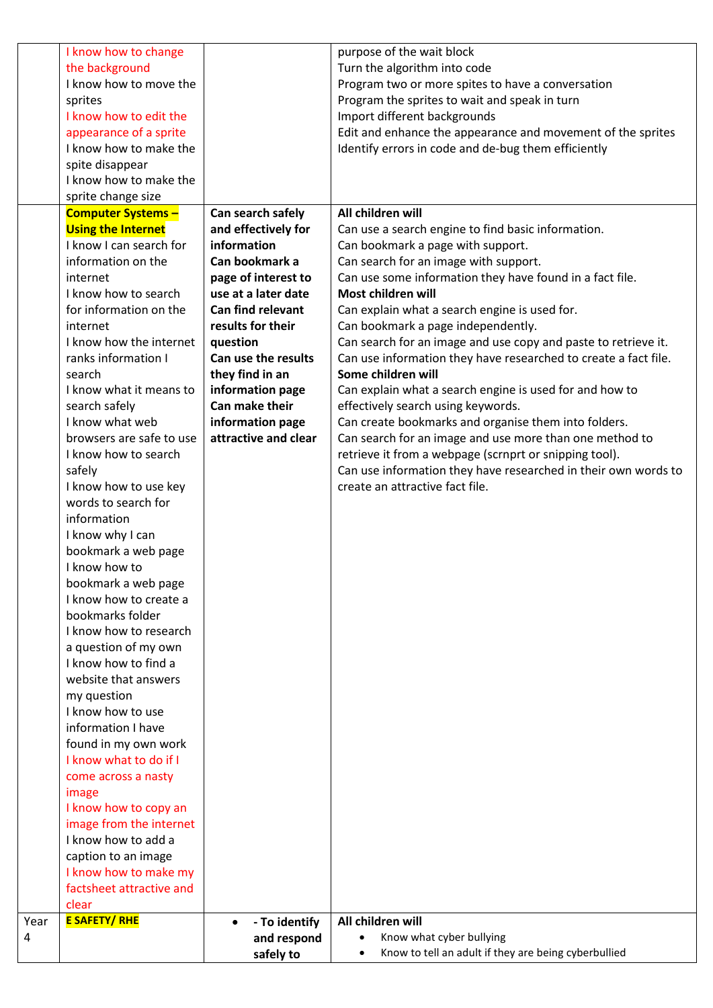|      | I know how to change          |                            | purpose of the wait block                                                               |
|------|-------------------------------|----------------------------|-----------------------------------------------------------------------------------------|
|      | the background                |                            | Turn the algorithm into code                                                            |
|      | I know how to move the        |                            | Program two or more spites to have a conversation                                       |
|      | sprites                       |                            | Program the sprites to wait and speak in turn                                           |
|      | I know how to edit the        |                            | Import different backgrounds                                                            |
|      | appearance of a sprite        |                            | Edit and enhance the appearance and movement of the sprites                             |
|      | I know how to make the        |                            | Identify errors in code and de-bug them efficiently                                     |
|      | spite disappear               |                            |                                                                                         |
|      | I know how to make the        |                            |                                                                                         |
|      | sprite change size            |                            |                                                                                         |
|      | <b>Computer Systems -</b>     | Can search safely          | All children will                                                                       |
|      | <b>Using the Internet</b>     | and effectively for        |                                                                                         |
|      | I know I can search for       | information                | Can use a search engine to find basic information.<br>Can bookmark a page with support. |
|      | information on the            | Can bookmark a             |                                                                                         |
|      |                               |                            | Can search for an image with support.                                                   |
|      | internet                      | page of interest to        | Can use some information they have found in a fact file.                                |
|      | I know how to search          | use at a later date        | Most children will                                                                      |
|      | for information on the        | <b>Can find relevant</b>   | Can explain what a search engine is used for.                                           |
|      | internet                      | results for their          | Can bookmark a page independently.                                                      |
|      | I know how the internet       | question                   | Can search for an image and use copy and paste to retrieve it.                          |
|      | ranks information I           | Can use the results        | Can use information they have researched to create a fact file.                         |
|      | search                        | they find in an            | Some children will                                                                      |
|      | I know what it means to       | information page           | Can explain what a search engine is used for and how to                                 |
|      | search safely                 | Can make their             | effectively search using keywords.                                                      |
|      | I know what web               | information page           | Can create bookmarks and organise them into folders.                                    |
|      | browsers are safe to use      | attractive and clear       | Can search for an image and use more than one method to                                 |
|      | I know how to search          |                            | retrieve it from a webpage (scrnprt or snipping tool).                                  |
|      | safely                        |                            | Can use information they have researched in their own words to                          |
|      | I know how to use key         |                            | create an attractive fact file.                                                         |
|      | words to search for           |                            |                                                                                         |
|      | information                   |                            |                                                                                         |
|      | I know why I can              |                            |                                                                                         |
|      | bookmark a web page           |                            |                                                                                         |
|      | I know how to                 |                            |                                                                                         |
|      | bookmark a web page           |                            |                                                                                         |
|      | I know how to create a        |                            |                                                                                         |
|      | bookmarks folder              |                            |                                                                                         |
|      | I know how to research        |                            |                                                                                         |
|      | a question of my own          |                            |                                                                                         |
|      | I know how to find a          |                            |                                                                                         |
|      | website that answers          |                            |                                                                                         |
|      | my question                   |                            |                                                                                         |
|      | I know how to use             |                            |                                                                                         |
|      | information I have            |                            |                                                                                         |
|      | found in my own work          |                            |                                                                                         |
|      | I know what to do if I        |                            |                                                                                         |
|      | come across a nasty           |                            |                                                                                         |
|      | image                         |                            |                                                                                         |
|      | I know how to copy an         |                            |                                                                                         |
|      | image from the internet       |                            |                                                                                         |
|      | I know how to add a           |                            |                                                                                         |
|      | caption to an image           |                            |                                                                                         |
|      | I know how to make my         |                            |                                                                                         |
|      | factsheet attractive and      |                            |                                                                                         |
|      |                               |                            |                                                                                         |
|      | clear<br><b>E SAFETY/ RHE</b> |                            |                                                                                         |
| Year |                               | - To identify<br>$\bullet$ | All children will                                                                       |
| 4    |                               | and respond                | Know what cyber bullying                                                                |
|      |                               | safely to                  | Know to tell an adult if they are being cyberbullied<br>$\bullet$                       |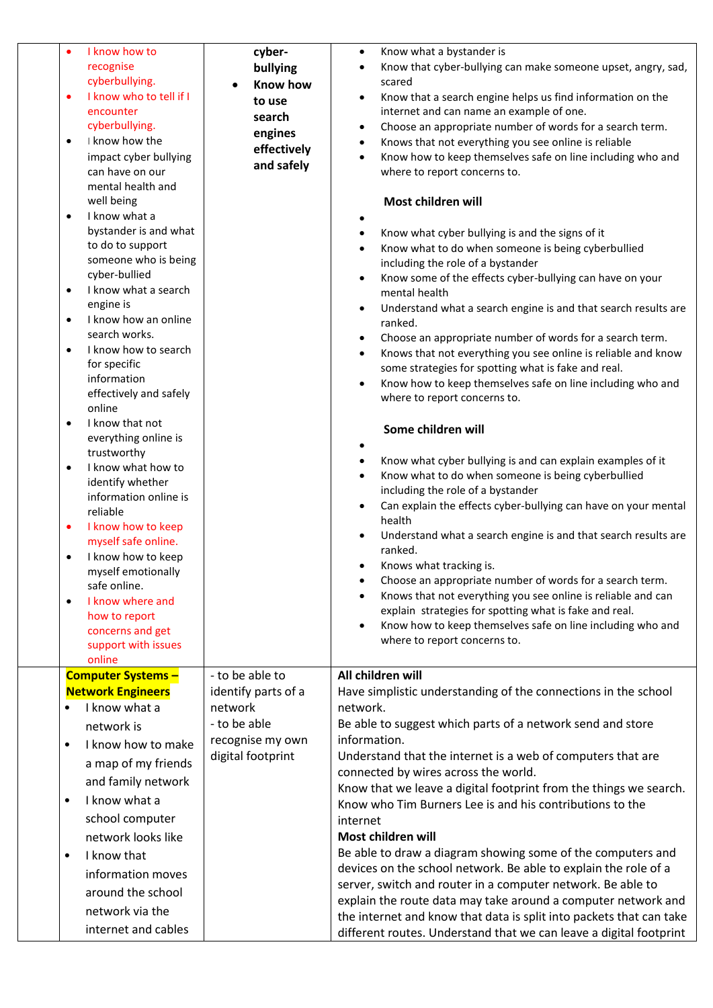| $\bullet$<br>$\bullet$<br>٠<br>٠<br>$\bullet$<br>$\bullet$<br>$\bullet$<br>$\bullet$<br>$\bullet$ | I know how to<br>recognise<br>cyberbullying.<br>I know who to tell if I<br>encounter<br>cyberbullying.<br>I know how the<br>impact cyber bullying<br>can have on our<br>mental health and<br>well being<br>I know what a<br>bystander is and what<br>to do to support<br>someone who is being<br>cyber-bullied<br>I know what a search<br>engine is<br>I know how an online<br>search works.<br>I know how to search<br>for specific<br>information<br>effectively and safely<br>online<br>I know that not<br>everything online is<br>trustworthy<br>I know what how to<br>identify whether<br>information online is<br>reliable<br>I know how to keep<br>myself safe online.<br>I know how to keep<br>myself emotionally<br>safe online. | cyber-<br>bullying<br>Know how<br>to use<br>search<br>engines<br>effectively<br>and safely                 | Know what a bystander is<br>$\bullet$<br>Know that cyber-bullying can make someone upset, angry, sad,<br>$\bullet$<br>scared<br>Know that a search engine helps us find information on the<br>$\bullet$<br>internet and can name an example of one.<br>Choose an appropriate number of words for a search term.<br>$\bullet$<br>Knows that not everything you see online is reliable<br>$\bullet$<br>Know how to keep themselves safe on line including who and<br>$\bullet$<br>where to report concerns to.<br>Most children will<br>٠<br>Know what cyber bullying is and the signs of it<br>$\bullet$<br>Know what to do when someone is being cyberbullied<br>including the role of a bystander<br>Know some of the effects cyber-bullying can have on your<br>$\bullet$<br>mental health<br>Understand what a search engine is and that search results are<br>$\bullet$<br>ranked.<br>Choose an appropriate number of words for a search term.<br>$\bullet$<br>Knows that not everything you see online is reliable and know<br>$\bullet$<br>some strategies for spotting what is fake and real.<br>Know how to keep themselves safe on line including who and<br>where to report concerns to.<br>Some children will<br>$\bullet$<br>Know what cyber bullying is and can explain examples of it<br>$\bullet$<br>Know what to do when someone is being cyberbullied<br>$\bullet$<br>including the role of a bystander<br>Can explain the effects cyber-bullying can have on your mental<br>$\bullet$<br>health<br>Understand what a search engine is and that search results are<br>ranked.<br>Knows what tracking is.<br>$\bullet$<br>Choose an appropriate number of words for a search term. |
|---------------------------------------------------------------------------------------------------|-------------------------------------------------------------------------------------------------------------------------------------------------------------------------------------------------------------------------------------------------------------------------------------------------------------------------------------------------------------------------------------------------------------------------------------------------------------------------------------------------------------------------------------------------------------------------------------------------------------------------------------------------------------------------------------------------------------------------------------------|------------------------------------------------------------------------------------------------------------|----------------------------------------------------------------------------------------------------------------------------------------------------------------------------------------------------------------------------------------------------------------------------------------------------------------------------------------------------------------------------------------------------------------------------------------------------------------------------------------------------------------------------------------------------------------------------------------------------------------------------------------------------------------------------------------------------------------------------------------------------------------------------------------------------------------------------------------------------------------------------------------------------------------------------------------------------------------------------------------------------------------------------------------------------------------------------------------------------------------------------------------------------------------------------------------------------------------------------------------------------------------------------------------------------------------------------------------------------------------------------------------------------------------------------------------------------------------------------------------------------------------------------------------------------------------------------------------------------------------------------------------------------------------------------------------------------|
| $\bullet$                                                                                         | I know where and<br>how to report<br>concerns and get                                                                                                                                                                                                                                                                                                                                                                                                                                                                                                                                                                                                                                                                                     |                                                                                                            | Knows that not everything you see online is reliable and can<br>explain strategies for spotting what is fake and real.<br>Know how to keep themselves safe on line including who and<br>where to report concerns to.                                                                                                                                                                                                                                                                                                                                                                                                                                                                                                                                                                                                                                                                                                                                                                                                                                                                                                                                                                                                                                                                                                                                                                                                                                                                                                                                                                                                                                                                               |
|                                                                                                   | support with issues<br>online                                                                                                                                                                                                                                                                                                                                                                                                                                                                                                                                                                                                                                                                                                             |                                                                                                            |                                                                                                                                                                                                                                                                                                                                                                                                                                                                                                                                                                                                                                                                                                                                                                                                                                                                                                                                                                                                                                                                                                                                                                                                                                                                                                                                                                                                                                                                                                                                                                                                                                                                                                    |
| $\bullet$<br>$\bullet$<br>$\bullet$                                                               | <b>Computer Systems -</b><br><b>Network Engineers</b><br>I know what a<br>network is<br>I know how to make<br>a map of my friends<br>and family network<br>I know what a<br>school computer<br>network looks like<br>I know that<br>information moves<br>around the school<br>network via the<br>internet and cables                                                                                                                                                                                                                                                                                                                                                                                                                      | - to be able to<br>identify parts of a<br>network<br>- to be able<br>recognise my own<br>digital footprint | All children will<br>Have simplistic understanding of the connections in the school<br>network.<br>Be able to suggest which parts of a network send and store<br>information.<br>Understand that the internet is a web of computers that are<br>connected by wires across the world.<br>Know that we leave a digital footprint from the things we search.<br>Know who Tim Burners Lee is and his contributions to the<br>internet<br>Most children will<br>Be able to draw a diagram showing some of the computers and<br>devices on the school network. Be able to explain the role of a<br>server, switch and router in a computer network. Be able to<br>explain the route data may take around a computer network and<br>the internet and know that data is split into packets that can take<br>different routes. Understand that we can leave a digital footprint                                                                                                                                                                                                                                                                                                                                                                                                                                                                                                                                                                                                                                                                                                                                                                                                                             |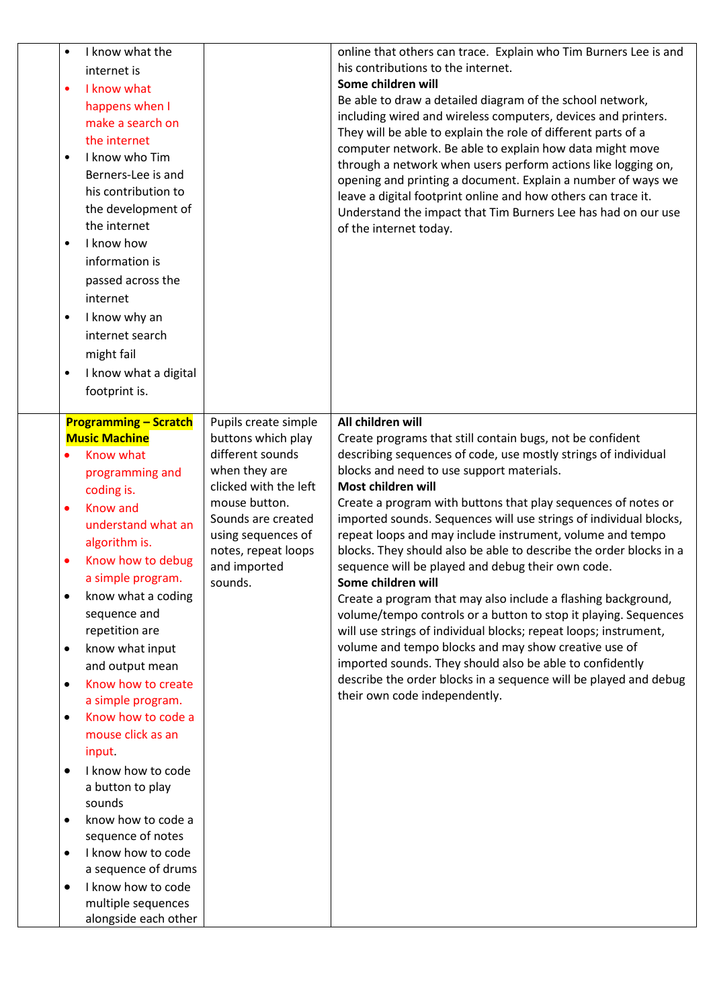| $\bullet$<br>$\bullet$<br>$\bullet$<br>$\bullet$ | I know what the<br>internet is<br>I know what<br>happens when I<br>make a search on<br>the internet<br>I know who Tim<br>Berners-Lee is and<br>his contribution to<br>the development of<br>the internet<br>I know how<br>information is<br>passed across the<br>internet<br>I know why an<br>internet search<br>might fail<br>I know what a digital<br>footprint is. |                                        | online that others can trace. Explain who Tim Burners Lee is and<br>his contributions to the internet.<br>Some children will<br>Be able to draw a detailed diagram of the school network,<br>including wired and wireless computers, devices and printers.<br>They will be able to explain the role of different parts of a<br>computer network. Be able to explain how data might move<br>through a network when users perform actions like logging on,<br>opening and printing a document. Explain a number of ways we<br>leave a digital footprint online and how others can trace it.<br>Understand the impact that Tim Burners Lee has had on our use<br>of the internet today. |
|--------------------------------------------------|-----------------------------------------------------------------------------------------------------------------------------------------------------------------------------------------------------------------------------------------------------------------------------------------------------------------------------------------------------------------------|----------------------------------------|--------------------------------------------------------------------------------------------------------------------------------------------------------------------------------------------------------------------------------------------------------------------------------------------------------------------------------------------------------------------------------------------------------------------------------------------------------------------------------------------------------------------------------------------------------------------------------------------------------------------------------------------------------------------------------------|
|                                                  | <b>Programming - Scratch</b>                                                                                                                                                                                                                                                                                                                                          | Pupils create simple                   | All children will                                                                                                                                                                                                                                                                                                                                                                                                                                                                                                                                                                                                                                                                    |
|                                                  | <b>Music Machine</b>                                                                                                                                                                                                                                                                                                                                                  | buttons which play<br>different sounds | Create programs that still contain bugs, not be confident                                                                                                                                                                                                                                                                                                                                                                                                                                                                                                                                                                                                                            |
|                                                  | Know what                                                                                                                                                                                                                                                                                                                                                             | when they are                          | describing sequences of code, use mostly strings of individual<br>blocks and need to use support materials.                                                                                                                                                                                                                                                                                                                                                                                                                                                                                                                                                                          |
|                                                  | programming and<br>coding is.                                                                                                                                                                                                                                                                                                                                         | clicked with the left                  | Most children will                                                                                                                                                                                                                                                                                                                                                                                                                                                                                                                                                                                                                                                                   |
| $\bullet$                                        | <b>Know and</b>                                                                                                                                                                                                                                                                                                                                                       | mouse button.                          | Create a program with buttons that play sequences of notes or                                                                                                                                                                                                                                                                                                                                                                                                                                                                                                                                                                                                                        |
|                                                  | understand what an                                                                                                                                                                                                                                                                                                                                                    | Sounds are created                     | imported sounds. Sequences will use strings of individual blocks,                                                                                                                                                                                                                                                                                                                                                                                                                                                                                                                                                                                                                    |
|                                                  | algorithm is.                                                                                                                                                                                                                                                                                                                                                         | using sequences of                     | repeat loops and may include instrument, volume and tempo                                                                                                                                                                                                                                                                                                                                                                                                                                                                                                                                                                                                                            |
|                                                  | Know how to debug                                                                                                                                                                                                                                                                                                                                                     | notes, repeat loops                    | blocks. They should also be able to describe the order blocks in a                                                                                                                                                                                                                                                                                                                                                                                                                                                                                                                                                                                                                   |
|                                                  | a simple program.                                                                                                                                                                                                                                                                                                                                                     | and imported                           | sequence will be played and debug their own code.                                                                                                                                                                                                                                                                                                                                                                                                                                                                                                                                                                                                                                    |
|                                                  | know what a coding                                                                                                                                                                                                                                                                                                                                                    | sounds.                                | Some children will                                                                                                                                                                                                                                                                                                                                                                                                                                                                                                                                                                                                                                                                   |
|                                                  | sequence and                                                                                                                                                                                                                                                                                                                                                          |                                        | Create a program that may also include a flashing background,<br>volume/tempo controls or a button to stop it playing. Sequences                                                                                                                                                                                                                                                                                                                                                                                                                                                                                                                                                     |
|                                                  | repetition are                                                                                                                                                                                                                                                                                                                                                        |                                        | will use strings of individual blocks; repeat loops; instrument,                                                                                                                                                                                                                                                                                                                                                                                                                                                                                                                                                                                                                     |
| ٠                                                | know what input                                                                                                                                                                                                                                                                                                                                                       |                                        | volume and tempo blocks and may show creative use of                                                                                                                                                                                                                                                                                                                                                                                                                                                                                                                                                                                                                                 |
|                                                  | and output mean                                                                                                                                                                                                                                                                                                                                                       |                                        | imported sounds. They should also be able to confidently                                                                                                                                                                                                                                                                                                                                                                                                                                                                                                                                                                                                                             |
| $\bullet$                                        | Know how to create                                                                                                                                                                                                                                                                                                                                                    |                                        | describe the order blocks in a sequence will be played and debug                                                                                                                                                                                                                                                                                                                                                                                                                                                                                                                                                                                                                     |
|                                                  | a simple program.                                                                                                                                                                                                                                                                                                                                                     |                                        | their own code independently.                                                                                                                                                                                                                                                                                                                                                                                                                                                                                                                                                                                                                                                        |
| $\bullet$                                        | Know how to code a                                                                                                                                                                                                                                                                                                                                                    |                                        |                                                                                                                                                                                                                                                                                                                                                                                                                                                                                                                                                                                                                                                                                      |
|                                                  | mouse click as an                                                                                                                                                                                                                                                                                                                                                     |                                        |                                                                                                                                                                                                                                                                                                                                                                                                                                                                                                                                                                                                                                                                                      |
|                                                  | input.                                                                                                                                                                                                                                                                                                                                                                |                                        |                                                                                                                                                                                                                                                                                                                                                                                                                                                                                                                                                                                                                                                                                      |
|                                                  | I know how to code                                                                                                                                                                                                                                                                                                                                                    |                                        |                                                                                                                                                                                                                                                                                                                                                                                                                                                                                                                                                                                                                                                                                      |
|                                                  | a button to play                                                                                                                                                                                                                                                                                                                                                      |                                        |                                                                                                                                                                                                                                                                                                                                                                                                                                                                                                                                                                                                                                                                                      |
|                                                  | sounds                                                                                                                                                                                                                                                                                                                                                                |                                        |                                                                                                                                                                                                                                                                                                                                                                                                                                                                                                                                                                                                                                                                                      |
|                                                  | know how to code a                                                                                                                                                                                                                                                                                                                                                    |                                        |                                                                                                                                                                                                                                                                                                                                                                                                                                                                                                                                                                                                                                                                                      |
|                                                  | sequence of notes                                                                                                                                                                                                                                                                                                                                                     |                                        |                                                                                                                                                                                                                                                                                                                                                                                                                                                                                                                                                                                                                                                                                      |
| $\bullet$                                        | I know how to code                                                                                                                                                                                                                                                                                                                                                    |                                        |                                                                                                                                                                                                                                                                                                                                                                                                                                                                                                                                                                                                                                                                                      |
|                                                  | a sequence of drums                                                                                                                                                                                                                                                                                                                                                   |                                        |                                                                                                                                                                                                                                                                                                                                                                                                                                                                                                                                                                                                                                                                                      |
|                                                  | I know how to code<br>multiple sequences                                                                                                                                                                                                                                                                                                                              |                                        |                                                                                                                                                                                                                                                                                                                                                                                                                                                                                                                                                                                                                                                                                      |
|                                                  | alongside each other                                                                                                                                                                                                                                                                                                                                                  |                                        |                                                                                                                                                                                                                                                                                                                                                                                                                                                                                                                                                                                                                                                                                      |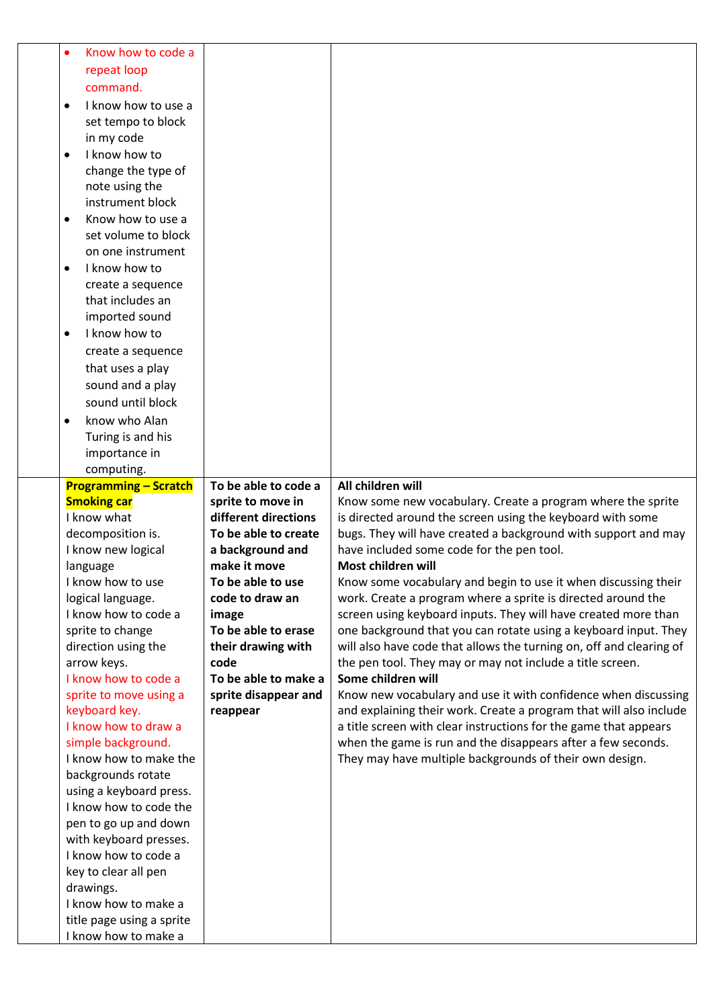| Know how to code a<br>$\bullet$                   |                      |                                                                     |
|---------------------------------------------------|----------------------|---------------------------------------------------------------------|
| repeat loop                                       |                      |                                                                     |
| command.                                          |                      |                                                                     |
|                                                   |                      |                                                                     |
| I know how to use a<br>$\bullet$                  |                      |                                                                     |
| set tempo to block                                |                      |                                                                     |
| in my code                                        |                      |                                                                     |
| I know how to<br>$\bullet$                        |                      |                                                                     |
| change the type of                                |                      |                                                                     |
| note using the                                    |                      |                                                                     |
| instrument block                                  |                      |                                                                     |
| Know how to use a<br>$\bullet$                    |                      |                                                                     |
| set volume to block                               |                      |                                                                     |
| on one instrument                                 |                      |                                                                     |
| I know how to<br>$\bullet$                        |                      |                                                                     |
| create a sequence                                 |                      |                                                                     |
| that includes an                                  |                      |                                                                     |
| imported sound                                    |                      |                                                                     |
| I know how to<br>$\bullet$                        |                      |                                                                     |
| create a sequence                                 |                      |                                                                     |
| that uses a play                                  |                      |                                                                     |
| sound and a play                                  |                      |                                                                     |
| sound until block                                 |                      |                                                                     |
| know who Alan<br>$\bullet$                        |                      |                                                                     |
| Turing is and his                                 |                      |                                                                     |
| importance in                                     |                      |                                                                     |
| computing.                                        |                      |                                                                     |
| <b>Programming - Scratch</b>                      | To be able to code a | All children will                                                   |
|                                                   |                      |                                                                     |
|                                                   |                      |                                                                     |
| <b>Smoking car</b>                                | sprite to move in    | Know some new vocabulary. Create a program where the sprite         |
| I know what                                       | different directions | is directed around the screen using the keyboard with some          |
| decomposition is.                                 | To be able to create | bugs. They will have created a background with support and may      |
| I know new logical                                | a background and     | have included some code for the pen tool.                           |
| language                                          | make it move         | Most children will                                                  |
| I know how to use                                 | To be able to use    | Know some vocabulary and begin to use it when discussing their      |
| logical language.                                 | code to draw an      | work. Create a program where a sprite is directed around the        |
| I know how to code a                              | image                | screen using keyboard inputs. They will have created more than      |
| sprite to change                                  | To be able to erase  | one background that you can rotate using a keyboard input. They     |
| direction using the                               | their drawing with   | will also have code that allows the turning on, off and clearing of |
| arrow keys.                                       | code                 | the pen tool. They may or may not include a title screen.           |
| I know how to code a                              | To be able to make a | Some children will                                                  |
| sprite to move using a                            | sprite disappear and | Know new vocabulary and use it with confidence when discussing      |
| keyboard key.                                     | reappear             | and explaining their work. Create a program that will also include  |
| I know how to draw a                              |                      | a title screen with clear instructions for the game that appears    |
| simple background.                                |                      | when the game is run and the disappears after a few seconds.        |
| I know how to make the                            |                      | They may have multiple backgrounds of their own design.             |
| backgrounds rotate                                |                      |                                                                     |
| using a keyboard press.                           |                      |                                                                     |
| I know how to code the                            |                      |                                                                     |
| pen to go up and down                             |                      |                                                                     |
| with keyboard presses.                            |                      |                                                                     |
| I know how to code a                              |                      |                                                                     |
| key to clear all pen                              |                      |                                                                     |
| drawings.                                         |                      |                                                                     |
| I know how to make a                              |                      |                                                                     |
| title page using a sprite<br>I know how to make a |                      |                                                                     |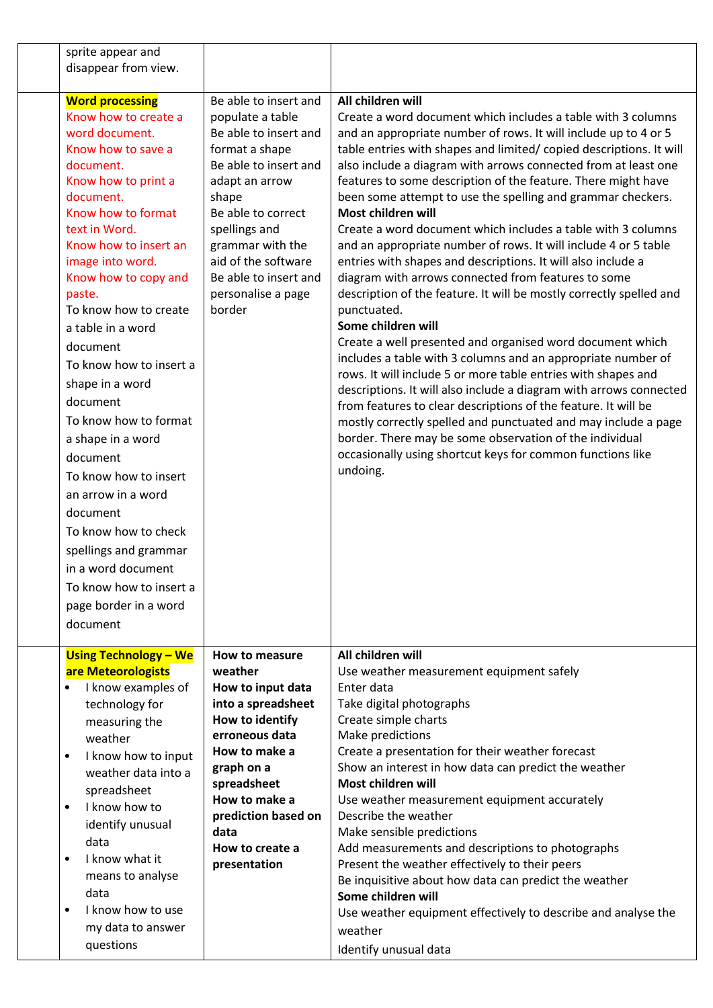| sprite appear and<br>disappear from view.                                                                                                                                                                                                                                                                                                                                                                                                                                                                                                                                                                                                     |                                                                                                                                                                                                                                                                                     |                                                                                                                                                                                                                                                                                                                                                                                                                                                                                                                                                                                                                                                                                                                                                                                                                                                                                                                                                                                                                                                                                                                                                                                                                                                                                                                                                                        |
|-----------------------------------------------------------------------------------------------------------------------------------------------------------------------------------------------------------------------------------------------------------------------------------------------------------------------------------------------------------------------------------------------------------------------------------------------------------------------------------------------------------------------------------------------------------------------------------------------------------------------------------------------|-------------------------------------------------------------------------------------------------------------------------------------------------------------------------------------------------------------------------------------------------------------------------------------|------------------------------------------------------------------------------------------------------------------------------------------------------------------------------------------------------------------------------------------------------------------------------------------------------------------------------------------------------------------------------------------------------------------------------------------------------------------------------------------------------------------------------------------------------------------------------------------------------------------------------------------------------------------------------------------------------------------------------------------------------------------------------------------------------------------------------------------------------------------------------------------------------------------------------------------------------------------------------------------------------------------------------------------------------------------------------------------------------------------------------------------------------------------------------------------------------------------------------------------------------------------------------------------------------------------------------------------------------------------------|
| <b>Word processing</b><br>Know how to create a<br>word document.<br>Know how to save a<br>document.<br>Know how to print a<br>document.<br>Know how to format<br>text in Word.<br>Know how to insert an<br>image into word.<br>Know how to copy and<br>paste.<br>To know how to create<br>a table in a word<br>document<br>To know how to insert a<br>shape in a word<br>document<br>To know how to format<br>a shape in a word<br>document<br>To know how to insert<br>an arrow in a word<br>document<br>To know how to check<br>spellings and grammar<br>in a word document<br>To know how to insert a<br>page border in a word<br>document | Be able to insert and<br>populate a table<br>Be able to insert and<br>format a shape<br>Be able to insert and<br>adapt an arrow<br>shape<br>Be able to correct<br>spellings and<br>grammar with the<br>aid of the software<br>Be able to insert and<br>personalise a page<br>border | All children will<br>Create a word document which includes a table with 3 columns<br>and an appropriate number of rows. It will include up to 4 or 5<br>table entries with shapes and limited/ copied descriptions. It will<br>also include a diagram with arrows connected from at least one<br>features to some description of the feature. There might have<br>been some attempt to use the spelling and grammar checkers.<br>Most children will<br>Create a word document which includes a table with 3 columns<br>and an appropriate number of rows. It will include 4 or 5 table<br>entries with shapes and descriptions. It will also include a<br>diagram with arrows connected from features to some<br>description of the feature. It will be mostly correctly spelled and<br>punctuated.<br>Some children will<br>Create a well presented and organised word document which<br>includes a table with 3 columns and an appropriate number of<br>rows. It will include 5 or more table entries with shapes and<br>descriptions. It will also include a diagram with arrows connected<br>from features to clear descriptions of the feature. It will be<br>mostly correctly spelled and punctuated and may include a page<br>border. There may be some observation of the individual<br>occasionally using shortcut keys for common functions like<br>undoing. |
| <b>Using Technology - We</b><br>are Meteorologists<br>I know examples of<br>$\bullet$<br>technology for<br>measuring the<br>weather<br>I know how to input<br>$\bullet$<br>weather data into a<br>spreadsheet<br>I know how to<br>$\bullet$<br>identify unusual<br>data<br>I know what it<br>$\bullet$<br>means to analyse<br>data<br>I know how to use<br>$\bullet$<br>my data to answer<br>questions                                                                                                                                                                                                                                        | How to measure<br>weather<br>How to input data<br>into a spreadsheet<br>How to identify<br>erroneous data<br>How to make a<br>graph on a<br>spreadsheet<br>How to make a<br>prediction based on<br>data<br>How to create a<br>presentation                                          | All children will<br>Use weather measurement equipment safely<br>Enter data<br>Take digital photographs<br>Create simple charts<br>Make predictions<br>Create a presentation for their weather forecast<br>Show an interest in how data can predict the weather<br>Most children will<br>Use weather measurement equipment accurately<br>Describe the weather<br>Make sensible predictions<br>Add measurements and descriptions to photographs<br>Present the weather effectively to their peers<br>Be inquisitive about how data can predict the weather<br>Some children will<br>Use weather equipment effectively to describe and analyse the<br>weather<br>Identify unusual data                                                                                                                                                                                                                                                                                                                                                                                                                                                                                                                                                                                                                                                                                   |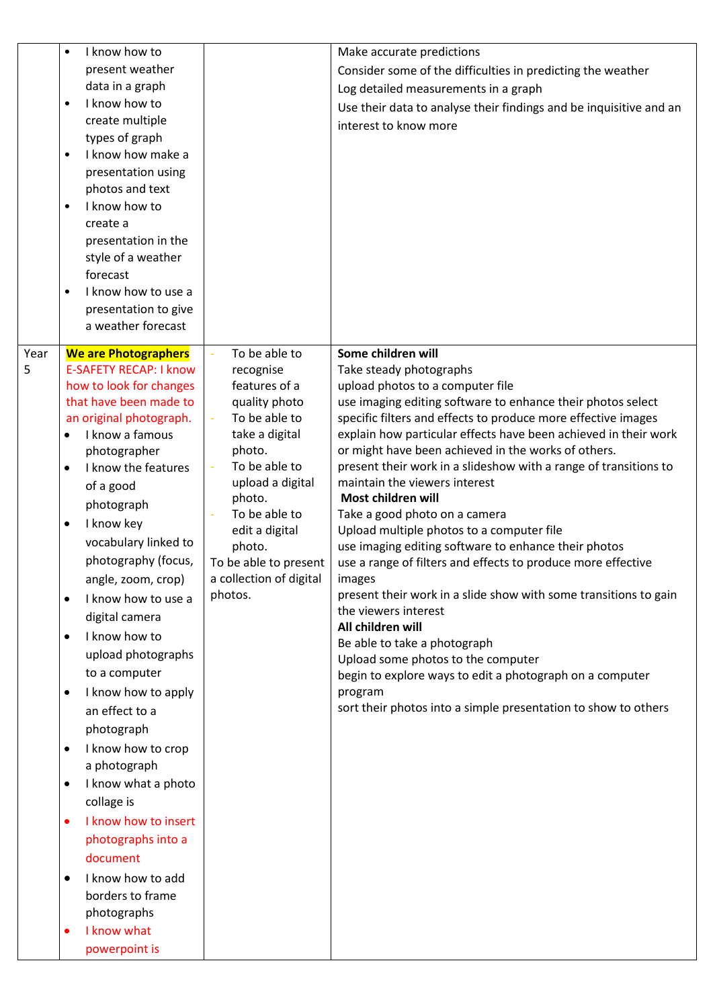|      | I know how to                                            |                            | Make accurate predictions                                                                         |
|------|----------------------------------------------------------|----------------------------|---------------------------------------------------------------------------------------------------|
|      | present weather                                          |                            | Consider some of the difficulties in predicting the weather                                       |
|      | data in a graph                                          |                            | Log detailed measurements in a graph                                                              |
|      | I know how to<br>$\bullet$                               |                            | Use their data to analyse their findings and be inquisitive and an                                |
|      | create multiple                                          |                            | interest to know more                                                                             |
|      | types of graph                                           |                            |                                                                                                   |
|      | I know how make a<br>٠                                   |                            |                                                                                                   |
|      | presentation using                                       |                            |                                                                                                   |
|      | photos and text<br>I know how to                         |                            |                                                                                                   |
|      | $\bullet$<br>create a                                    |                            |                                                                                                   |
|      | presentation in the                                      |                            |                                                                                                   |
|      | style of a weather                                       |                            |                                                                                                   |
|      | forecast                                                 |                            |                                                                                                   |
|      | I know how to use a<br>$\bullet$                         |                            |                                                                                                   |
|      | presentation to give                                     |                            |                                                                                                   |
|      | a weather forecast                                       |                            |                                                                                                   |
|      |                                                          |                            |                                                                                                   |
| Year | <b>We are Photographers</b>                              | To be able to              | Some children will                                                                                |
| 5    | <b>E-SAFETY RECAP: I know</b><br>how to look for changes | recognise<br>features of a | Take steady photographs<br>upload photos to a computer file                                       |
|      | that have been made to                                   | quality photo              | use imaging editing software to enhance their photos select                                       |
|      | an original photograph.                                  | To be able to              | specific filters and effects to produce more effective images                                     |
|      | I know a famous                                          | take a digital             | explain how particular effects have been achieved in their work                                   |
|      | photographer                                             | photo.                     | or might have been achieved in the works of others.                                               |
|      | I know the features                                      | To be able to              | present their work in a slideshow with a range of transitions to                                  |
|      | of a good                                                | upload a digital           | maintain the viewers interest                                                                     |
|      | photograph                                               | photo.                     | Most children will                                                                                |
|      | I know key<br>٠                                          | To be able to              | Take a good photo on a camera                                                                     |
|      | vocabulary linked to                                     | edit a digital<br>photo.   | Upload multiple photos to a computer file<br>use imaging editing software to enhance their photos |
|      | photography (focus,                                      | To be able to present      | use a range of filters and effects to produce more effective                                      |
|      | angle, zoom, crop)                                       | a collection of digital    | images                                                                                            |
|      | I know how to use a                                      | photos.                    | present their work in a slide show with some transitions to gain                                  |
|      | digital camera                                           |                            | the viewers interest                                                                              |
|      | I know how to<br>$\bullet$                               |                            | All children will                                                                                 |
|      | upload photographs                                       |                            | Be able to take a photograph                                                                      |
|      | to a computer                                            |                            | Upload some photos to the computer                                                                |
|      |                                                          |                            | begin to explore ways to edit a photograph on a computer<br>program                               |
|      | I know how to apply                                      |                            | sort their photos into a simple presentation to show to others                                    |
|      | an effect to a                                           |                            |                                                                                                   |
|      | photograph                                               |                            |                                                                                                   |
|      | I know how to crop                                       |                            |                                                                                                   |
|      | a photograph                                             |                            |                                                                                                   |
|      | I know what a photo                                      |                            |                                                                                                   |
|      | collage is                                               |                            |                                                                                                   |
|      | I know how to insert                                     |                            |                                                                                                   |
|      | photographs into a                                       |                            |                                                                                                   |
|      | document                                                 |                            |                                                                                                   |
|      | I know how to add                                        |                            |                                                                                                   |
|      | borders to frame                                         |                            |                                                                                                   |
|      | photographs                                              |                            |                                                                                                   |
|      | I know what                                              |                            |                                                                                                   |
|      | powerpoint is                                            |                            |                                                                                                   |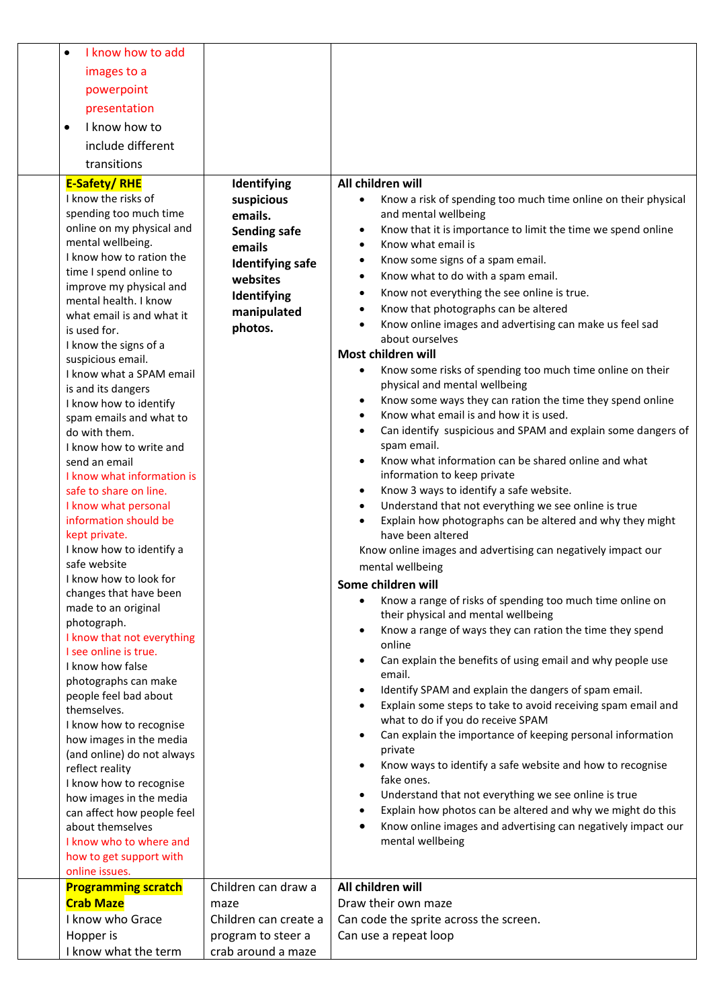| I know how to add<br>$\bullet$                |                                          |                                                                                                              |
|-----------------------------------------------|------------------------------------------|--------------------------------------------------------------------------------------------------------------|
| images to a                                   |                                          |                                                                                                              |
| powerpoint                                    |                                          |                                                                                                              |
|                                               |                                          |                                                                                                              |
| presentation                                  |                                          |                                                                                                              |
| I know how to<br>$\bullet$                    |                                          |                                                                                                              |
| include different                             |                                          |                                                                                                              |
| transitions                                   |                                          |                                                                                                              |
| <b>E-Safety/RHE</b>                           | Identifying                              | All children will                                                                                            |
| I know the risks of                           | suspicious                               | Know a risk of spending too much time online on their physical<br>$\bullet$                                  |
| spending too much time                        | emails.                                  | and mental wellbeing                                                                                         |
| online on my physical and                     | <b>Sending safe</b>                      | Know that it is importance to limit the time we spend online<br>$\bullet$                                    |
| mental wellbeing.                             | emails                                   | Know what email is<br>$\bullet$                                                                              |
| I know how to ration the                      | <b>Identifying safe</b>                  | Know some signs of a spam email.<br>$\bullet$                                                                |
| time I spend online to                        | websites                                 | Know what to do with a spam email.<br>$\bullet$                                                              |
| improve my physical and                       | Identifying                              | Know not everything the see online is true.<br>$\bullet$                                                     |
| mental health. I know                         |                                          | Know that photographs can be altered<br>$\bullet$                                                            |
| what email is and what it                     | manipulated                              | Know online images and advertising can make us feel sad<br>$\bullet$                                         |
| is used for.                                  | photos.                                  | about ourselves                                                                                              |
| I know the signs of a                         |                                          | Most children will                                                                                           |
| suspicious email.<br>I know what a SPAM email |                                          | Know some risks of spending too much time online on their<br>$\bullet$                                       |
| is and its dangers                            |                                          | physical and mental wellbeing                                                                                |
| I know how to identify                        |                                          | Know some ways they can ration the time they spend online<br>$\bullet$                                       |
| spam emails and what to                       |                                          | Know what email is and how it is used.<br>$\bullet$                                                          |
| do with them.                                 |                                          | Can identify suspicious and SPAM and explain some dangers of<br>$\bullet$                                    |
| I know how to write and                       |                                          | spam email.                                                                                                  |
| send an email                                 |                                          | Know what information can be shared online and what<br>$\bullet$                                             |
| I know what information is                    |                                          | information to keep private                                                                                  |
| safe to share on line.                        |                                          | Know 3 ways to identify a safe website.<br>$\bullet$                                                         |
| I know what personal                          |                                          | Understand that not everything we see online is true<br>$\bullet$                                            |
| information should be                         |                                          | Explain how photographs can be altered and why they might<br>$\bullet$                                       |
| kept private.<br>I know how to identify a     |                                          | have been altered                                                                                            |
| safe website                                  |                                          | Know online images and advertising can negatively impact our                                                 |
| I know how to look for                        |                                          | mental wellbeing                                                                                             |
| changes that have been                        |                                          | Some children will                                                                                           |
| made to an original                           |                                          | Know a range of risks of spending too much time online on<br>$\bullet$                                       |
| photograph.                                   |                                          | their physical and mental wellbeing<br>Know a range of ways they can ration the time they spend<br>$\bullet$ |
| I know that not everything                    |                                          | online                                                                                                       |
| I see online is true.                         |                                          | Can explain the benefits of using email and why people use<br>$\bullet$                                      |
| I know how false                              |                                          | email.                                                                                                       |
| photographs can make                          |                                          | Identify SPAM and explain the dangers of spam email.<br>$\bullet$                                            |
| people feel bad about<br>themselves.          |                                          | Explain some steps to take to avoid receiving spam email and<br>$\bullet$                                    |
| I know how to recognise                       |                                          | what to do if you do receive SPAM                                                                            |
| how images in the media                       |                                          | Can explain the importance of keeping personal information<br>$\bullet$                                      |
| (and online) do not always                    |                                          | private                                                                                                      |
| reflect reality                               |                                          | Know ways to identify a safe website and how to recognise<br>$\bullet$                                       |
| I know how to recognise                       |                                          | fake ones.                                                                                                   |
| how images in the media                       |                                          | Understand that not everything we see online is true<br>$\bullet$                                            |
| can affect how people feel                    |                                          | Explain how photos can be altered and why we might do this<br>$\bullet$                                      |
| about themselves                              |                                          | Know online images and advertising can negatively impact our<br>$\bullet$                                    |
| I know who to where and                       |                                          | mental wellbeing                                                                                             |
| how to get support with                       |                                          |                                                                                                              |
| online issues.<br><b>Programming scratch</b>  | Children can draw a                      | All children will                                                                                            |
| <b>Crab Maze</b>                              | maze                                     | Draw their own maze                                                                                          |
| I know who Grace                              | Children can create a                    | Can code the sprite across the screen.                                                                       |
|                                               |                                          | Can use a repeat loop                                                                                        |
| Hopper is<br>I know what the term             | program to steer a<br>crab around a maze |                                                                                                              |
|                                               |                                          |                                                                                                              |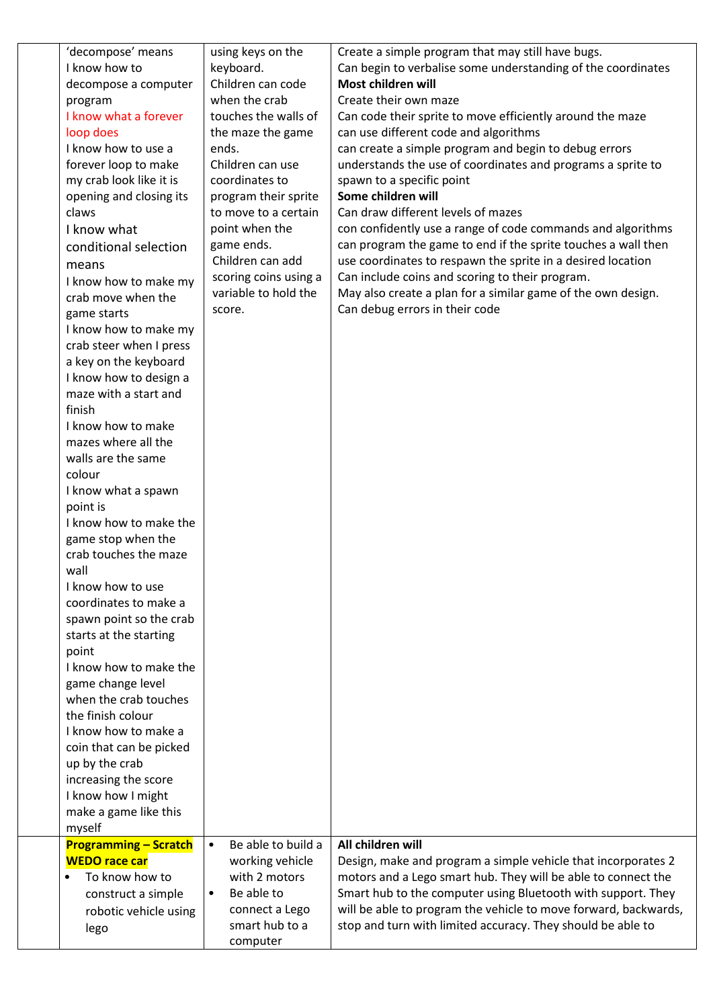| 'decompose' means            | using keys on the               | Create a simple program that may still have bugs.               |
|------------------------------|---------------------------------|-----------------------------------------------------------------|
| I know how to                | keyboard.                       | Can begin to verbalise some understanding of the coordinates    |
| decompose a computer         | Children can code               | Most children will                                              |
| program                      | when the crab                   | Create their own maze                                           |
| I know what a forever        | touches the walls of            | Can code their sprite to move efficiently around the maze       |
| loop does                    | the maze the game               | can use different code and algorithms                           |
| I know how to use a          | ends.                           | can create a simple program and begin to debug errors           |
| forever loop to make         | Children can use                | understands the use of coordinates and programs a sprite to     |
| my crab look like it is      | coordinates to                  | spawn to a specific point                                       |
| opening and closing its      | program their sprite            | Some children will                                              |
| claws                        | to move to a certain            | Can draw different levels of mazes                              |
| I know what                  | point when the                  | con confidently use a range of code commands and algorithms     |
| conditional selection        | game ends.                      | can program the game to end if the sprite touches a wall then   |
| means                        | Children can add                | use coordinates to respawn the sprite in a desired location     |
| I know how to make my        | scoring coins using a           | Can include coins and scoring to their program.                 |
| crab move when the           | variable to hold the            | May also create a plan for a similar game of the own design.    |
| game starts                  | score.                          | Can debug errors in their code                                  |
| I know how to make my        |                                 |                                                                 |
| crab steer when I press      |                                 |                                                                 |
| a key on the keyboard        |                                 |                                                                 |
| I know how to design a       |                                 |                                                                 |
| maze with a start and        |                                 |                                                                 |
| finish                       |                                 |                                                                 |
| I know how to make           |                                 |                                                                 |
| mazes where all the          |                                 |                                                                 |
| walls are the same           |                                 |                                                                 |
| colour                       |                                 |                                                                 |
| I know what a spawn          |                                 |                                                                 |
| point is                     |                                 |                                                                 |
| I know how to make the       |                                 |                                                                 |
| game stop when the           |                                 |                                                                 |
| crab touches the maze        |                                 |                                                                 |
| wall                         |                                 |                                                                 |
| I know how to use            |                                 |                                                                 |
| coordinates to make a        |                                 |                                                                 |
| spawn point so the crab      |                                 |                                                                 |
| starts at the starting       |                                 |                                                                 |
| point                        |                                 |                                                                 |
| I know how to make the       |                                 |                                                                 |
| game change level            |                                 |                                                                 |
| when the crab touches        |                                 |                                                                 |
| the finish colour            |                                 |                                                                 |
| I know how to make a         |                                 |                                                                 |
| coin that can be picked      |                                 |                                                                 |
| up by the crab               |                                 |                                                                 |
| increasing the score         |                                 |                                                                 |
| I know how I might           |                                 |                                                                 |
| make a game like this        |                                 |                                                                 |
| myself                       |                                 |                                                                 |
| <b>Programming - Scratch</b> | Be able to build a<br>$\bullet$ | All children will                                               |
| <b>WEDO race car</b>         | working vehicle                 | Design, make and program a simple vehicle that incorporates 2   |
| To know how to<br>$\bullet$  | with 2 motors                   | motors and a Lego smart hub. They will be able to connect the   |
| construct a simple           | Be able to<br>$\bullet$         | Smart hub to the computer using Bluetooth with support. They    |
| robotic vehicle using        | connect a Lego                  | will be able to program the vehicle to move forward, backwards, |
| lego                         | smart hub to a                  | stop and turn with limited accuracy. They should be able to     |
|                              | computer                        |                                                                 |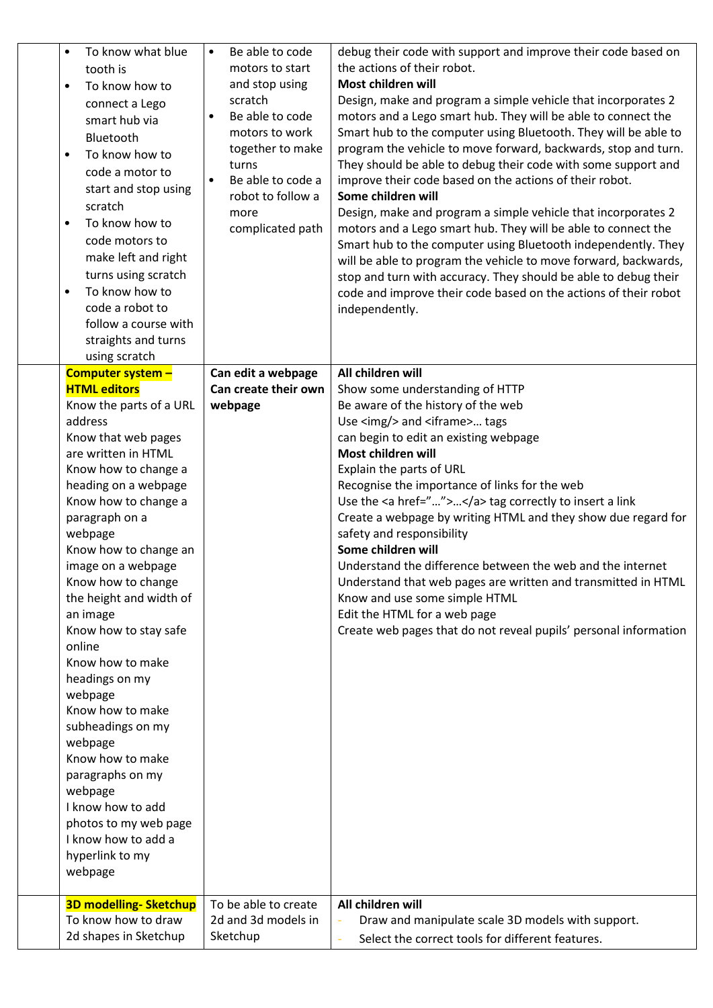| To know what blue<br>$\bullet$<br>tooth is<br>To know how to<br>$\bullet$<br>connect a Lego<br>smart hub via<br>Bluetooth<br>To know how to<br>$\bullet$<br>code a motor to<br>start and stop using<br>scratch<br>To know how to<br>$\bullet$<br>code motors to<br>make left and right<br>turns using scratch<br>To know how to<br>code a robot to<br>follow a course with<br>straights and turns<br>using scratch                                                                                                                                                                                                                          | Be able to code<br>$\bullet$<br>motors to start<br>and stop using<br>scratch<br>Be able to code<br>$\bullet$<br>motors to work<br>together to make<br>turns<br>Be able to code a<br>$\bullet$<br>robot to follow a<br>more<br>complicated path | debug their code with support and improve their code based on<br>the actions of their robot.<br>Most children will<br>Design, make and program a simple vehicle that incorporates 2<br>motors and a Lego smart hub. They will be able to connect the<br>Smart hub to the computer using Bluetooth. They will be able to<br>program the vehicle to move forward, backwards, stop and turn.<br>They should be able to debug their code with some support and<br>improve their code based on the actions of their robot.<br>Some children will<br>Design, make and program a simple vehicle that incorporates 2<br>motors and a Lego smart hub. They will be able to connect the<br>Smart hub to the computer using Bluetooth independently. They<br>will be able to program the vehicle to move forward, backwards,<br>stop and turn with accuracy. They should be able to debug their<br>code and improve their code based on the actions of their robot<br>independently. |
|---------------------------------------------------------------------------------------------------------------------------------------------------------------------------------------------------------------------------------------------------------------------------------------------------------------------------------------------------------------------------------------------------------------------------------------------------------------------------------------------------------------------------------------------------------------------------------------------------------------------------------------------|------------------------------------------------------------------------------------------------------------------------------------------------------------------------------------------------------------------------------------------------|---------------------------------------------------------------------------------------------------------------------------------------------------------------------------------------------------------------------------------------------------------------------------------------------------------------------------------------------------------------------------------------------------------------------------------------------------------------------------------------------------------------------------------------------------------------------------------------------------------------------------------------------------------------------------------------------------------------------------------------------------------------------------------------------------------------------------------------------------------------------------------------------------------------------------------------------------------------------------|
| Computer system -<br><b>HTML editors</b><br>Know the parts of a URL<br>address<br>Know that web pages<br>are written in HTML<br>Know how to change a<br>heading on a webpage<br>Know how to change a<br>paragraph on a<br>webpage<br>Know how to change an<br>image on a webpage<br>Know how to change<br>the height and width of<br>an image<br>Know how to stay safe<br>online<br>Know how to make<br>headings on my<br>webpage<br>Know how to make<br>subheadings on my<br>webpage<br>Know how to make<br>paragraphs on my<br>webpage<br>I know how to add<br>photos to my web page<br>I know how to add a<br>hyperlink to my<br>webpage | Can edit a webpage<br>Can create their own<br>webpage                                                                                                                                                                                          | All children will<br>Show some understanding of HTTP<br>Be aware of the history of the web<br>Use <img/> and <iframe> tags<br/>can begin to edit an existing webpage<br/>Most children will<br/>Explain the parts of URL<br/>Recognise the importance of links for the web<br/>Use the <a href=""></a> tag correctly to insert a link<br/>Create a webpage by writing HTML and they show due regard for<br/>safety and responsibility<br/>Some children will<br/>Understand the difference between the web and the internet<br/>Understand that web pages are written and transmitted in HTML<br/>Know and use some simple HTML<br/>Edit the HTML for a web page<br/>Create web pages that do not reveal pupils' personal information</iframe>                                                                                                                                                                                                                            |
| <b>3D modelling- Sketchup</b><br>To know how to draw<br>2d shapes in Sketchup                                                                                                                                                                                                                                                                                                                                                                                                                                                                                                                                                               | To be able to create<br>2d and 3d models in<br>Sketchup                                                                                                                                                                                        | All children will<br>Draw and manipulate scale 3D models with support.<br>÷<br>Select the correct tools for different features.                                                                                                                                                                                                                                                                                                                                                                                                                                                                                                                                                                                                                                                                                                                                                                                                                                           |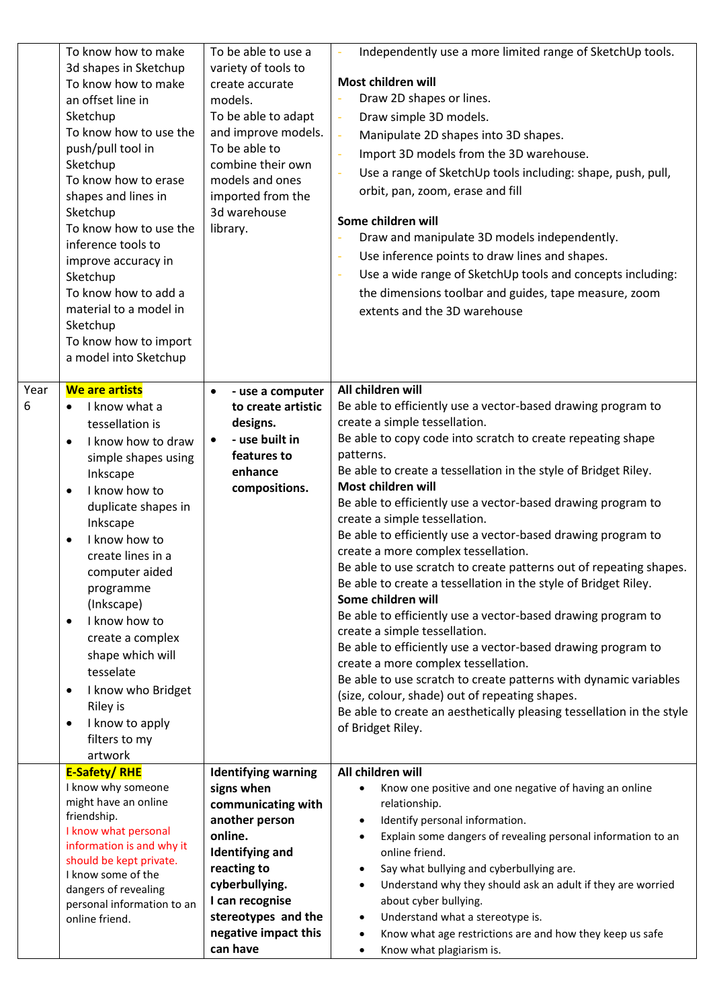|           | To know how to make<br>3d shapes in Sketchup<br>To know how to make<br>an offset line in<br>Sketchup<br>To know how to use the<br>push/pull tool in<br>Sketchup<br>To know how to erase<br>shapes and lines in<br>Sketchup<br>To know how to use the<br>inference tools to<br>improve accuracy in<br>Sketchup<br>To know how to add a<br>material to a model in<br>Sketchup<br>To know how to import                                                                           | To be able to use a<br>variety of tools to<br>create accurate<br>models.<br>To be able to adapt<br>and improve models.<br>To be able to<br>combine their own<br>models and ones<br>imported from the<br>3d warehouse<br>library.     | Independently use a more limited range of SketchUp tools.<br>Most children will<br>Draw 2D shapes or lines.<br>Draw simple 3D models.<br>$\Box$<br>Manipulate 2D shapes into 3D shapes.<br>÷,<br>Import 3D models from the 3D warehouse.<br>Use a range of SketchUp tools including: shape, push, pull,<br>orbit, pan, zoom, erase and fill<br>Some children will<br>Draw and manipulate 3D models independently.<br>Use inference points to draw lines and shapes.<br>Use a wide range of SketchUp tools and concepts including:<br>÷<br>the dimensions toolbar and guides, tape measure, zoom<br>extents and the 3D warehouse                                                                                                                                                                                                                                                                                                                                                                                                                                                            |
|-----------|--------------------------------------------------------------------------------------------------------------------------------------------------------------------------------------------------------------------------------------------------------------------------------------------------------------------------------------------------------------------------------------------------------------------------------------------------------------------------------|--------------------------------------------------------------------------------------------------------------------------------------------------------------------------------------------------------------------------------------|--------------------------------------------------------------------------------------------------------------------------------------------------------------------------------------------------------------------------------------------------------------------------------------------------------------------------------------------------------------------------------------------------------------------------------------------------------------------------------------------------------------------------------------------------------------------------------------------------------------------------------------------------------------------------------------------------------------------------------------------------------------------------------------------------------------------------------------------------------------------------------------------------------------------------------------------------------------------------------------------------------------------------------------------------------------------------------------------|
| Year<br>6 | a model into Sketchup<br>We are artists<br>I know what a<br>$\bullet$<br>tessellation is<br>I know how to draw<br>$\bullet$<br>simple shapes using<br>Inkscape<br>I know how to<br>duplicate shapes in<br>Inkscape<br>I know how to<br>create lines in a<br>computer aided<br>programme<br>(Inkscape)<br>I know how to<br>$\bullet$<br>create a complex<br>shape which will<br>tesselate<br>I know who Bridget<br>Riley is<br>I know to apply<br>٠<br>filters to my<br>artwork | - use a computer<br>$\bullet$<br>to create artistic<br>designs.<br>- use built in<br>features to<br>enhance<br>compositions.                                                                                                         | All children will<br>Be able to efficiently use a vector-based drawing program to<br>create a simple tessellation.<br>Be able to copy code into scratch to create repeating shape<br>patterns.<br>Be able to create a tessellation in the style of Bridget Riley.<br>Most children will<br>Be able to efficiently use a vector-based drawing program to<br>create a simple tessellation.<br>Be able to efficiently use a vector-based drawing program to<br>create a more complex tessellation.<br>Be able to use scratch to create patterns out of repeating shapes.<br>Be able to create a tessellation in the style of Bridget Riley.<br>Some children will<br>Be able to efficiently use a vector-based drawing program to<br>create a simple tessellation.<br>Be able to efficiently use a vector-based drawing program to<br>create a more complex tessellation.<br>Be able to use scratch to create patterns with dynamic variables<br>(size, colour, shade) out of repeating shapes.<br>Be able to create an aesthetically pleasing tessellation in the style<br>of Bridget Riley. |
|           | <b>E-Safety/RHE</b><br>I know why someone<br>might have an online<br>friendship.<br>I know what personal<br>information is and why it<br>should be kept private.<br>I know some of the<br>dangers of revealing<br>personal information to an<br>online friend.                                                                                                                                                                                                                 | <b>Identifying warning</b><br>signs when<br>communicating with<br>another person<br>online.<br><b>Identifying and</b><br>reacting to<br>cyberbullying.<br>I can recognise<br>stereotypes and the<br>negative impact this<br>can have | All children will<br>Know one positive and one negative of having an online<br>$\bullet$<br>relationship.<br>Identify personal information.<br>$\bullet$<br>Explain some dangers of revealing personal information to an<br>$\bullet$<br>online friend.<br>Say what bullying and cyberbullying are.<br>$\bullet$<br>Understand why they should ask an adult if they are worried<br>$\bullet$<br>about cyber bullying.<br>Understand what a stereotype is.<br>$\bullet$<br>Know what age restrictions are and how they keep us safe<br>$\bullet$<br>Know what plagiarism is.<br>$\bullet$                                                                                                                                                                                                                                                                                                                                                                                                                                                                                                   |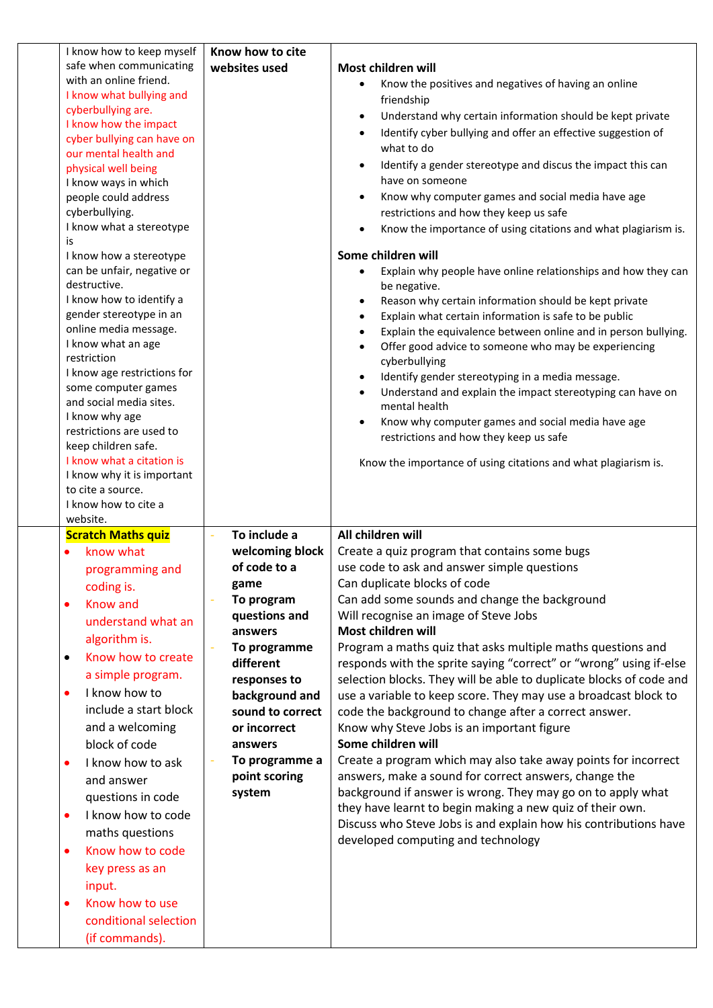| I know how to keep myself               | Know how to cite |                                                                             |
|-----------------------------------------|------------------|-----------------------------------------------------------------------------|
| safe when communicating                 | websites used    | Most children will                                                          |
| with an online friend.                  |                  | Know the positives and negatives of having an online                        |
| I know what bullying and                |                  | friendship                                                                  |
| cyberbullying are.                      |                  | Understand why certain information should be kept private<br>$\bullet$      |
| I know how the impact                   |                  | Identify cyber bullying and offer an effective suggestion of<br>$\bullet$   |
| cyber bullying can have on              |                  | what to do                                                                  |
| our mental health and                   |                  |                                                                             |
| physical well being                     |                  | Identify a gender stereotype and discus the impact this can<br>$\bullet$    |
| I know ways in which                    |                  | have on someone                                                             |
| people could address                    |                  | Know why computer games and social media have age<br>$\bullet$              |
| cyberbullying.                          |                  | restrictions and how they keep us safe                                      |
| I know what a stereotype                |                  | Know the importance of using citations and what plagiarism is.              |
| is                                      |                  |                                                                             |
| I know how a stereotype                 |                  | Some children will                                                          |
| can be unfair, negative or              |                  | Explain why people have online relationships and how they can               |
| destructive.                            |                  | be negative.                                                                |
| I know how to identify a                |                  | Reason why certain information should be kept private<br>$\bullet$          |
| gender stereotype in an                 |                  | Explain what certain information is safe to be public                       |
| online media message.                   |                  | Explain the equivalence between online and in person bullying.<br>$\bullet$ |
| I know what an age                      |                  | Offer good advice to someone who may be experiencing                        |
| restriction                             |                  | cyberbullying                                                               |
| I know age restrictions for             |                  | Identify gender stereotyping in a media message.<br>$\bullet$               |
| some computer games                     |                  | Understand and explain the impact stereotyping can have on<br>$\bullet$     |
| and social media sites.                 |                  | mental health                                                               |
| I know why age                          |                  | Know why computer games and social media have age<br>$\bullet$              |
| restrictions are used to                |                  | restrictions and how they keep us safe                                      |
| keep children safe.                     |                  |                                                                             |
| I know what a citation is               |                  | Know the importance of using citations and what plagiarism is.              |
| I know why it is important              |                  |                                                                             |
| to cite a source.                       |                  |                                                                             |
|                                         |                  |                                                                             |
| I know how to cite a                    |                  |                                                                             |
| website.                                |                  |                                                                             |
| <b>Scratch Maths quiz</b>               | To include a     | All children will                                                           |
| know what                               | welcoming block  | Create a quiz program that contains some bugs                               |
| programming and                         | of code to a     | use code to ask and answer simple questions                                 |
|                                         |                  | Can duplicate blocks of code                                                |
| coding is.                              | game             |                                                                             |
| <b>Know and</b><br>$\bullet$            | To program       | Can add some sounds and change the background                               |
| understand what an                      | questions and    | Will recognise an image of Steve Jobs                                       |
| algorithm is.                           | answers          | Most children will                                                          |
| Know how to create<br>$\bullet$         | To programme     | Program a maths quiz that asks multiple maths questions and                 |
|                                         | different        | responds with the sprite saying "correct" or "wrong" using if-else          |
| a simple program.                       | responses to     | selection blocks. They will be able to duplicate blocks of code and         |
| I know how to<br>$\bullet$              | background and   | use a variable to keep score. They may use a broadcast block to             |
| include a start block                   | sound to correct | code the background to change after a correct answer.                       |
| and a welcoming                         | or incorrect     | Know why Steve Jobs is an important figure                                  |
| block of code                           | answers          | Some children will                                                          |
| I know how to ask<br>$\bullet$          | To programme a   | Create a program which may also take away points for incorrect              |
|                                         | point scoring    | answers, make a sound for correct answers, change the                       |
| and answer                              |                  |                                                                             |
| questions in code                       | system           | background if answer is wrong. They may go on to apply what                 |
| I know how to code<br>$\bullet$         |                  | they have learnt to begin making a new quiz of their own.                   |
| maths questions                         |                  | Discuss who Steve Jobs is and explain how his contributions have            |
| Know how to code<br>٠                   |                  | developed computing and technology                                          |
|                                         |                  |                                                                             |
| key press as an                         |                  |                                                                             |
| input.                                  |                  |                                                                             |
| Know how to use                         |                  |                                                                             |
| conditional selection<br>(if commands). |                  |                                                                             |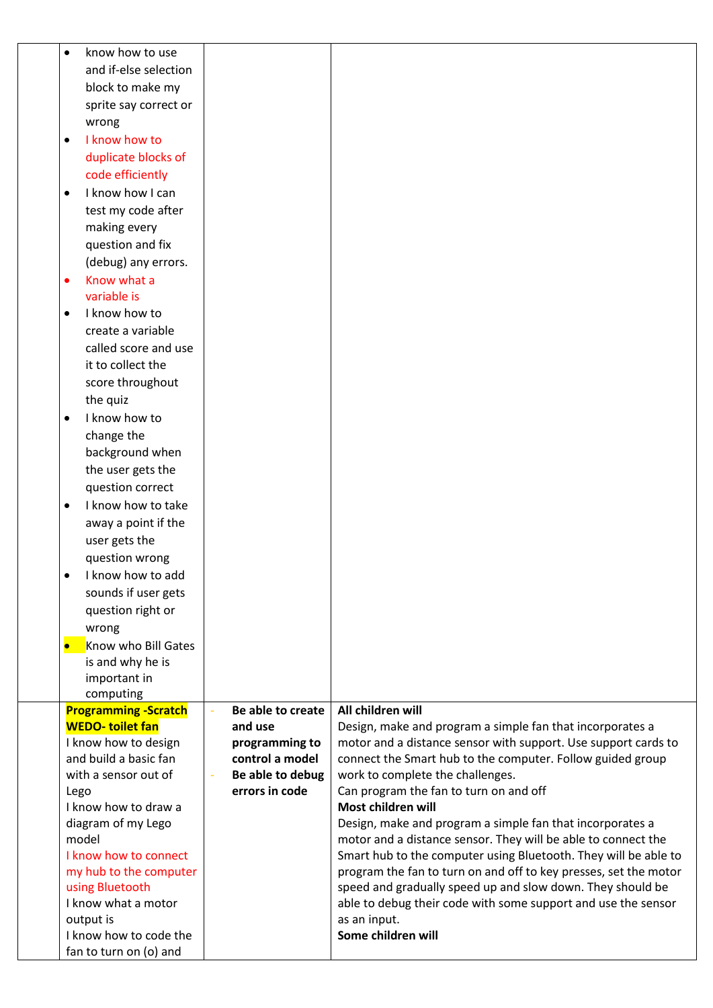| know how to use<br>$\bullet$             |                                              |                                                                               |
|------------------------------------------|----------------------------------------------|-------------------------------------------------------------------------------|
| and if-else selection                    |                                              |                                                                               |
| block to make my                         |                                              |                                                                               |
| sprite say correct or                    |                                              |                                                                               |
| wrong                                    |                                              |                                                                               |
| I know how to<br>$\bullet$               |                                              |                                                                               |
| duplicate blocks of                      |                                              |                                                                               |
| code efficiently                         |                                              |                                                                               |
| I know how I can                         |                                              |                                                                               |
| $\bullet$                                |                                              |                                                                               |
| test my code after                       |                                              |                                                                               |
| making every                             |                                              |                                                                               |
| question and fix                         |                                              |                                                                               |
| (debug) any errors.                      |                                              |                                                                               |
| Know what a<br>$\bullet$                 |                                              |                                                                               |
| variable is                              |                                              |                                                                               |
| I know how to<br>$\bullet$               |                                              |                                                                               |
| create a variable                        |                                              |                                                                               |
| called score and use                     |                                              |                                                                               |
| it to collect the                        |                                              |                                                                               |
| score throughout                         |                                              |                                                                               |
| the quiz                                 |                                              |                                                                               |
| I know how to<br>$\bullet$               |                                              |                                                                               |
| change the                               |                                              |                                                                               |
| background when                          |                                              |                                                                               |
| the user gets the                        |                                              |                                                                               |
| question correct                         |                                              |                                                                               |
| I know how to take<br>$\bullet$          |                                              |                                                                               |
| away a point if the                      |                                              |                                                                               |
| user gets the                            |                                              |                                                                               |
| question wrong                           |                                              |                                                                               |
| I know how to add<br>$\bullet$           |                                              |                                                                               |
| sounds if user gets                      |                                              |                                                                               |
| question right or                        |                                              |                                                                               |
| wrong                                    |                                              |                                                                               |
| Know who Bill Gates<br>$\bullet$         |                                              |                                                                               |
| is and why he is                         |                                              |                                                                               |
| important in                             |                                              |                                                                               |
| computing<br><b>Programming -Scratch</b> | Be able to create                            | All children will                                                             |
| <b>WEDO-toilet fan</b>                   | and use                                      | Design, make and program a simple fan that incorporates a                     |
| I know how to design                     | programming to                               | motor and a distance sensor with support. Use support cards to                |
| and build a basic fan                    | control a model                              | connect the Smart hub to the computer. Follow guided group                    |
| with a sensor out of                     | Be able to debug<br>$\overline{\phantom{a}}$ | work to complete the challenges.                                              |
| Lego                                     | errors in code                               | Can program the fan to turn on and off                                        |
| I know how to draw a                     |                                              | Most children will                                                            |
| diagram of my Lego                       |                                              | Design, make and program a simple fan that incorporates a                     |
| model                                    |                                              | motor and a distance sensor. They will be able to connect the                 |
| I know how to connect                    |                                              | Smart hub to the computer using Bluetooth. They will be able to               |
| my hub to the computer                   |                                              | program the fan to turn on and off to key presses, set the motor              |
| using Bluetooth                          |                                              | speed and gradually speed up and slow down. They should be                    |
| I know what a motor<br>output is         |                                              | able to debug their code with some support and use the sensor<br>as an input. |
| I know how to code the                   |                                              | Some children will                                                            |
| fan to turn on (o) and                   |                                              |                                                                               |
|                                          |                                              |                                                                               |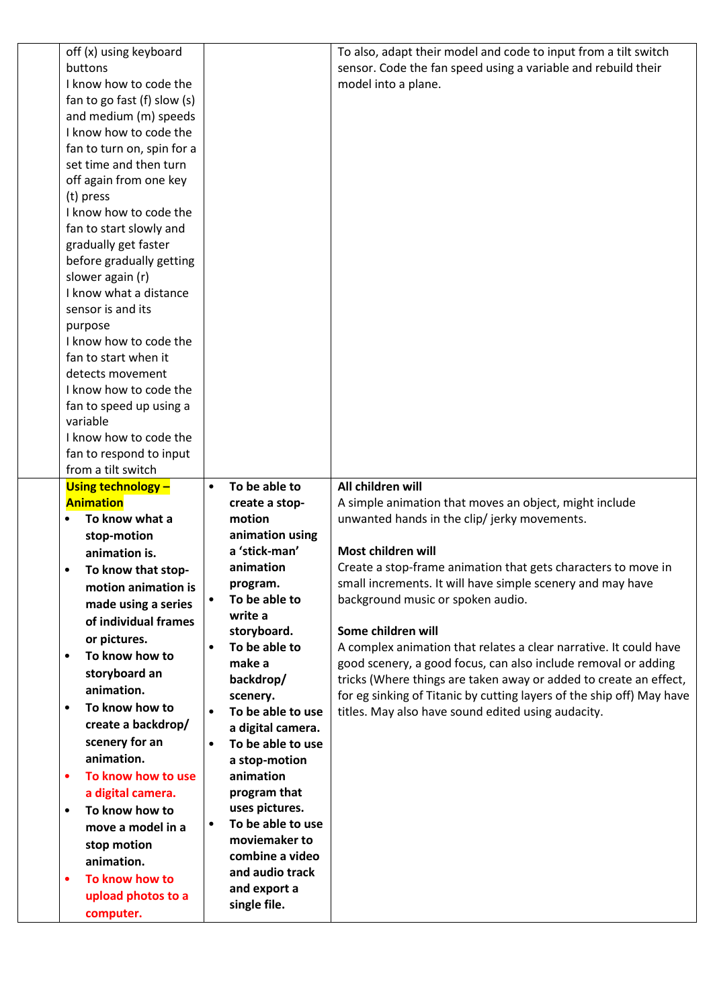| off (x) using keyboard              |           |                              | To also, adapt their model and code to input from a tilt switch       |
|-------------------------------------|-----------|------------------------------|-----------------------------------------------------------------------|
| buttons                             |           |                              | sensor. Code the fan speed using a variable and rebuild their         |
| I know how to code the              |           |                              | model into a plane.                                                   |
| fan to go fast (f) slow (s)         |           |                              |                                                                       |
| and medium (m) speeds               |           |                              |                                                                       |
| I know how to code the              |           |                              |                                                                       |
| fan to turn on, spin for a          |           |                              |                                                                       |
| set time and then turn              |           |                              |                                                                       |
| off again from one key              |           |                              |                                                                       |
| (t) press                           |           |                              |                                                                       |
| I know how to code the              |           |                              |                                                                       |
| fan to start slowly and             |           |                              |                                                                       |
| gradually get faster                |           |                              |                                                                       |
| before gradually getting            |           |                              |                                                                       |
| slower again (r)                    |           |                              |                                                                       |
| I know what a distance              |           |                              |                                                                       |
| sensor is and its                   |           |                              |                                                                       |
|                                     |           |                              |                                                                       |
| purpose<br>I know how to code the   |           |                              |                                                                       |
| fan to start when it                |           |                              |                                                                       |
|                                     |           |                              |                                                                       |
| detects movement                    |           |                              |                                                                       |
| I know how to code the              |           |                              |                                                                       |
| fan to speed up using a<br>variable |           |                              |                                                                       |
|                                     |           |                              |                                                                       |
| I know how to code the              |           |                              |                                                                       |
| fan to respond to input             |           |                              |                                                                       |
| from a tilt switch                  |           |                              |                                                                       |
| <b>Using technology -</b>           | $\bullet$ | To be able to                | All children will                                                     |
| <b>Animation</b>                    |           | create a stop-               | A simple animation that moves an object, might include                |
| To know what a                      |           | motion                       | unwanted hands in the clip/ jerky movements.                          |
| stop-motion                         |           | animation using              |                                                                       |
| animation is.                       |           | a 'stick-man'                | Most children will                                                    |
|                                     |           |                              |                                                                       |
| To know that stop-                  |           | animation                    | Create a stop-frame animation that gets characters to move in         |
| motion animation is                 |           | program.                     | small increments. It will have simple scenery and may have            |
| made using a series                 |           | To be able to                | background music or spoken audio.                                     |
| of individual frames                |           | write a                      |                                                                       |
| or pictures.                        |           | storyboard.                  | Some children will                                                    |
| To know how to<br>$\bullet$         | $\bullet$ | To be able to                | A complex animation that relates a clear narrative. It could have     |
|                                     |           | make a                       | good scenery, a good focus, can also include removal or adding        |
| storyboard an                       |           | backdrop/                    | tricks (Where things are taken away or added to create an effect,     |
| animation.                          |           | scenery.                     | for eg sinking of Titanic by cutting layers of the ship off) May have |
| To know how to<br>$\bullet$         | $\bullet$ | To be able to use            | titles. May also have sound edited using audacity.                    |
| create a backdrop/                  |           | a digital camera.            |                                                                       |
| scenery for an                      | $\bullet$ | To be able to use            |                                                                       |
| animation.                          |           | a stop-motion                |                                                                       |
| To know how to use<br>٠             |           | animation                    |                                                                       |
| a digital camera.                   |           | program that                 |                                                                       |
| To know how to<br>$\bullet$         |           | uses pictures.               |                                                                       |
| move a model in a                   | $\bullet$ | To be able to use            |                                                                       |
| stop motion                         |           | moviemaker to                |                                                                       |
| animation.                          |           | combine a video              |                                                                       |
| To know how to<br>$\bullet$         |           | and audio track              |                                                                       |
| upload photos to a                  |           | and export a<br>single file. |                                                                       |